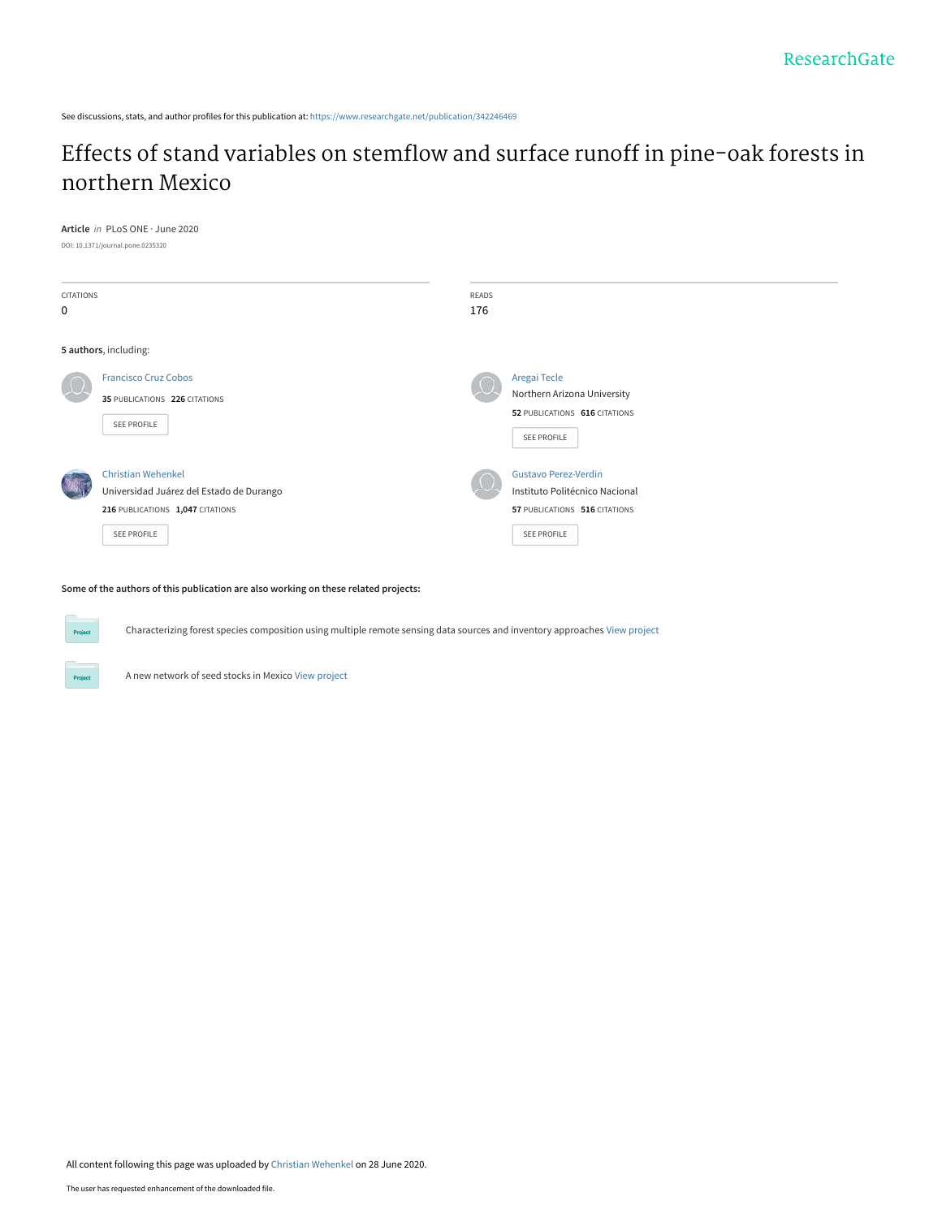See discussions, stats, and author profiles for this publication at: [https://www.researchgate.net/publication/342246469](https://www.researchgate.net/publication/342246469_Effects_of_stand_variables_on_stemflow_and_surface_runoff_in_pine-oak_forests_in_northern_Mexico?enrichId=rgreq-57d7eb94bb591b88a70246e4ee2fe45d-XXX&enrichSource=Y292ZXJQYWdlOzM0MjI0NjQ2OTtBUzo5MDc0MzkxODg3NDIxNDVAMTU5MzM2MTc3MDU4NQ%3D%3D&el=1_x_2&_esc=publicationCoverPdf)

# [Effects of stand variables on stemflow and surface runoff in pine-oak forests in](https://www.researchgate.net/publication/342246469_Effects_of_stand_variables_on_stemflow_and_surface_runoff_in_pine-oak_forests_in_northern_Mexico?enrichId=rgreq-57d7eb94bb591b88a70246e4ee2fe45d-XXX&enrichSource=Y292ZXJQYWdlOzM0MjI0NjQ2OTtBUzo5MDc0MzkxODg3NDIxNDVAMTU5MzM2MTc3MDU4NQ%3D%3D&el=1_x_3&_esc=publicationCoverPdf) northern Mexico

#### DOI: 10.1371/journal.pone.0235320 CITATIONS 0 READS 176 **5 authors**, including: [Francisco Cruz Cobos](https://www.researchgate.net/profile/Francisco-Cobos?enrichId=rgreq-57d7eb94bb591b88a70246e4ee2fe45d-XXX&enrichSource=Y292ZXJQYWdlOzM0MjI0NjQ2OTtBUzo5MDc0MzkxODg3NDIxNDVAMTU5MzM2MTc3MDU4NQ%3D%3D&el=1_x_5&_esc=publicationCoverPdf) **35** PUBLICATIONS **226** CITATIONS [SEE PROFILE](https://www.researchgate.net/profile/Francisco-Cobos?enrichId=rgreq-57d7eb94bb591b88a70246e4ee2fe45d-XXX&enrichSource=Y292ZXJQYWdlOzM0MjI0NjQ2OTtBUzo5MDc0MzkxODg3NDIxNDVAMTU5MzM2MTc3MDU4NQ%3D%3D&el=1_x_7&_esc=publicationCoverPdf) [Aregai Tecle](https://www.researchgate.net/profile/Aregai-Tecle?enrichId=rgreq-57d7eb94bb591b88a70246e4ee2fe45d-XXX&enrichSource=Y292ZXJQYWdlOzM0MjI0NjQ2OTtBUzo5MDc0MzkxODg3NDIxNDVAMTU5MzM2MTc3MDU4NQ%3D%3D&el=1_x_5&_esc=publicationCoverPdf) [Northern Arizona University](https://www.researchgate.net/institution/Northern_Arizona_University?enrichId=rgreq-57d7eb94bb591b88a70246e4ee2fe45d-XXX&enrichSource=Y292ZXJQYWdlOzM0MjI0NjQ2OTtBUzo5MDc0MzkxODg3NDIxNDVAMTU5MzM2MTc3MDU4NQ%3D%3D&el=1_x_6&_esc=publicationCoverPdf) **52** PUBLICATIONS **616** CITATIONS [SEE PROFILE](https://www.researchgate.net/profile/Aregai-Tecle?enrichId=rgreq-57d7eb94bb591b88a70246e4ee2fe45d-XXX&enrichSource=Y292ZXJQYWdlOzM0MjI0NjQ2OTtBUzo5MDc0MzkxODg3NDIxNDVAMTU5MzM2MTc3MDU4NQ%3D%3D&el=1_x_7&_esc=publicationCoverPdf) [Christian Wehenkel](https://www.researchgate.net/profile/Christian-Wehenkel?enrichId=rgreq-57d7eb94bb591b88a70246e4ee2fe45d-XXX&enrichSource=Y292ZXJQYWdlOzM0MjI0NjQ2OTtBUzo5MDc0MzkxODg3NDIxNDVAMTU5MzM2MTc3MDU4NQ%3D%3D&el=1_x_5&_esc=publicationCoverPdf) [Universidad Juárez del Estado de Durango](https://www.researchgate.net/institution/Universidad-Juarez-del-Estado-de-Durango?enrichId=rgreq-57d7eb94bb591b88a70246e4ee2fe45d-XXX&enrichSource=Y292ZXJQYWdlOzM0MjI0NjQ2OTtBUzo5MDc0MzkxODg3NDIxNDVAMTU5MzM2MTc3MDU4NQ%3D%3D&el=1_x_6&_esc=publicationCoverPdf) **216** PUBLICATIONS **1,047** CITATIONS [SEE PROFILE](https://www.researchgate.net/profile/Christian-Wehenkel?enrichId=rgreq-57d7eb94bb591b88a70246e4ee2fe45d-XXX&enrichSource=Y292ZXJQYWdlOzM0MjI0NjQ2OTtBUzo5MDc0MzkxODg3NDIxNDVAMTU5MzM2MTc3MDU4NQ%3D%3D&el=1_x_7&_esc=publicationCoverPdf) [Gustavo Perez-Verdin](https://www.researchgate.net/profile/Gustavo-Perez-Verdin?enrichId=rgreq-57d7eb94bb591b88a70246e4ee2fe45d-XXX&enrichSource=Y292ZXJQYWdlOzM0MjI0NjQ2OTtBUzo5MDc0MzkxODg3NDIxNDVAMTU5MzM2MTc3MDU4NQ%3D%3D&el=1_x_5&_esc=publicationCoverPdf) [Instituto Politécnico Nacional](https://www.researchgate.net/institution/Instituto_Politecnico_Nacional?enrichId=rgreq-57d7eb94bb591b88a70246e4ee2fe45d-XXX&enrichSource=Y292ZXJQYWdlOzM0MjI0NjQ2OTtBUzo5MDc0MzkxODg3NDIxNDVAMTU5MzM2MTc3MDU4NQ%3D%3D&el=1_x_6&_esc=publicationCoverPdf) **57** PUBLICATIONS **516** CITATIONS [SEE PROFILE](https://www.researchgate.net/profile/Gustavo-Perez-Verdin?enrichId=rgreq-57d7eb94bb591b88a70246e4ee2fe45d-XXX&enrichSource=Y292ZXJQYWdlOzM0MjI0NjQ2OTtBUzo5MDc0MzkxODg3NDIxNDVAMTU5MzM2MTc3MDU4NQ%3D%3D&el=1_x_7&_esc=publicationCoverPdf)

**Some of the authors of this publication are also working on these related projects:**

Characterizing forest species composition using multiple remote sensing data sources and inventory approaches [View project](https://www.researchgate.net/project/Characterizing-forest-species-composition-using-multiple-remote-sensing-data-sources-and-inventory-approaches?enrichId=rgreq-57d7eb94bb591b88a70246e4ee2fe45d-XXX&enrichSource=Y292ZXJQYWdlOzM0MjI0NjQ2OTtBUzo5MDc0MzkxODg3NDIxNDVAMTU5MzM2MTc3MDU4NQ%3D%3D&el=1_x_9&_esc=publicationCoverPdf)

**Article** in PLoS ONE · June 2020

A new network of seed stocks in Mexico [View project](https://www.researchgate.net/project/A-new-network-of-seed-stocks-in-Mexico?enrichId=rgreq-57d7eb94bb591b88a70246e4ee2fe45d-XXX&enrichSource=Y292ZXJQYWdlOzM0MjI0NjQ2OTtBUzo5MDc0MzkxODg3NDIxNDVAMTU5MzM2MTc3MDU4NQ%3D%3D&el=1_x_9&_esc=publicationCoverPdf)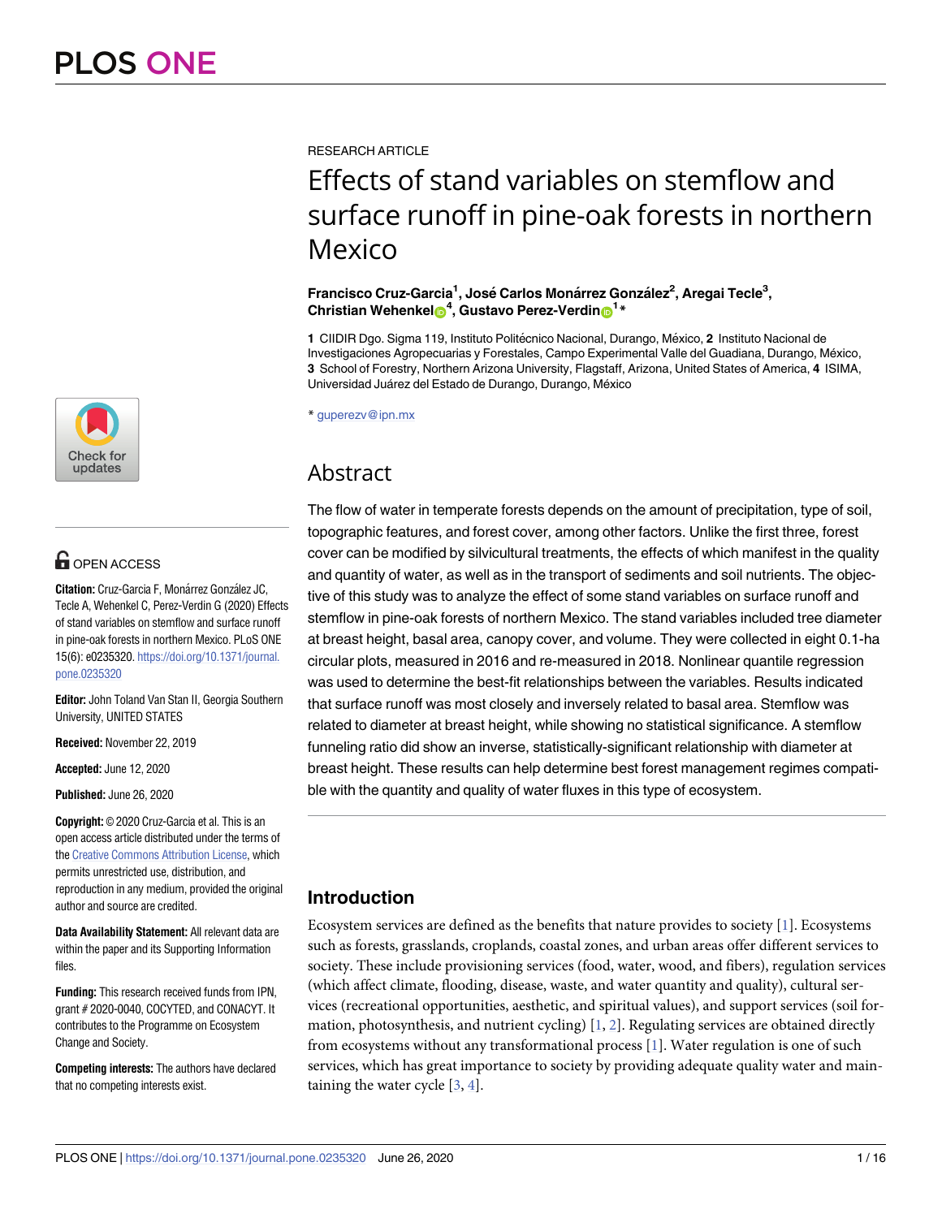

# **G** OPEN ACCESS

**Citation:** Cruz-Garcia F, Monárrez González JC, Tecle A, Wehenkel C, Perez-Verdin G (2020) Effects of stand variables on stemflow and surface runoff in pine-oak forests in northern Mexico. PLoS ONE 15(6): e0235320. [https://doi.org/10.1371/journal.](https://doi.org/10.1371/journal.pone.0235320) [pone.0235320](https://doi.org/10.1371/journal.pone.0235320)

**Editor:** John Toland Van Stan II, Georgia Southern University, UNITED STATES

**Received:** November 22, 2019

**Accepted:** June 12, 2020

**Published:** June 26, 2020

**Copyright:** © 2020 Cruz-Garcia et al. This is an open access article distributed under the terms of the Creative [Commons](http://creativecommons.org/licenses/by/4.0/) Attribution License, which permits unrestricted use, distribution, and reproduction in any medium, provided the original author and source are credited.

**Data Availability Statement:** All relevant data are within the paper and its Supporting Information files.

**Funding:** This research received funds from IPN, grant # 2020-0040, COCYTED, and CONACYT. It contributes to the Programme on Ecosystem Change and Society.

**Competing interests:** The authors have declared that no competing interests exist.

<span id="page-1-0"></span>**RESEARCH ARTICLE** 

# Effects of stand variables on stemflow and surface runoff in pine-oak forests in northern Mexico

#### **Francisco Cruz-Garcia1 , Jose´ Carlos Mona´rrez Gonza´lez2 , Aregai Tecle3 , Christian Wehenke[lID](http://orcid.org/0000-0002-2341-5458)4 , Gustavo Perez-Verdin[ID1](http://orcid.org/0000-0001-6788-2763) \***

1 CIIDIR Dgo. Sigma 119, Instituto Politécnico Nacional, Durango, México, 2 Instituto Nacional de Investigaciones Agropecuarias y Forestales, Campo Experimental Valle del Guadiana, Durango, México, **3** School of Forestry, Northern Arizona University, Flagstaff, Arizona, United States of America, **4** ISIMA, Universidad Juárez del Estado de Durango, Durango, México

\* guperezv@ipn.mx

# Abstract

The flow of water in temperate forests depends on the amount of precipitation, type of soil, topographic features, and forest cover, among other factors. Unlike the first three, forest cover can be modified by silvicultural treatments, the effects of which manifest in the quality and quantity of water, as well as in the transport of sediments and soil nutrients. The objective of this study was to analyze the effect of some stand variables on surface runoff and stemflow in pine-oak forests of northern Mexico. The stand variables included tree diameter at breast height, basal area, canopy cover, and volume. They were collected in eight 0.1-ha circular plots, measured in 2016 and re-measured in 2018. Nonlinear quantile regression was used to determine the best-fit relationships between the variables. Results indicated that surface runoff was most closely and inversely related to basal area. Stemflow was related to diameter at breast height, while showing no statistical significance. A stemflow funneling ratio did show an inverse, statistically-significant relationship with diameter at breast height. These results can help determine best forest management regimes compatible with the quantity and quality of water fluxes in this type of ecosystem.

# **Introduction**

Ecosystem services are defined as the benefits that nature provides to society [\[1\]](#page-13-0). Ecosystems such as forests, grasslands, croplands, coastal zones, and urban areas offer different services to society. These include provisioning services (food, water, wood, and fibers), regulation services (which affect climate, flooding, disease, waste, and water quantity and quality), cultural services (recreational opportunities, aesthetic, and spiritual values), and support services (soil formation, photosynthesis, and nutrient cycling) [[1,](#page-13-0) [2\]](#page-13-0). Regulating services are obtained directly from ecosystems without any transformational process [\[1](#page-13-0)]. Water regulation is one of such services, which has great importance to society by providing adequate quality water and maintaining the water cycle  $[3, 4]$  $[3, 4]$  $[3, 4]$  $[3, 4]$ .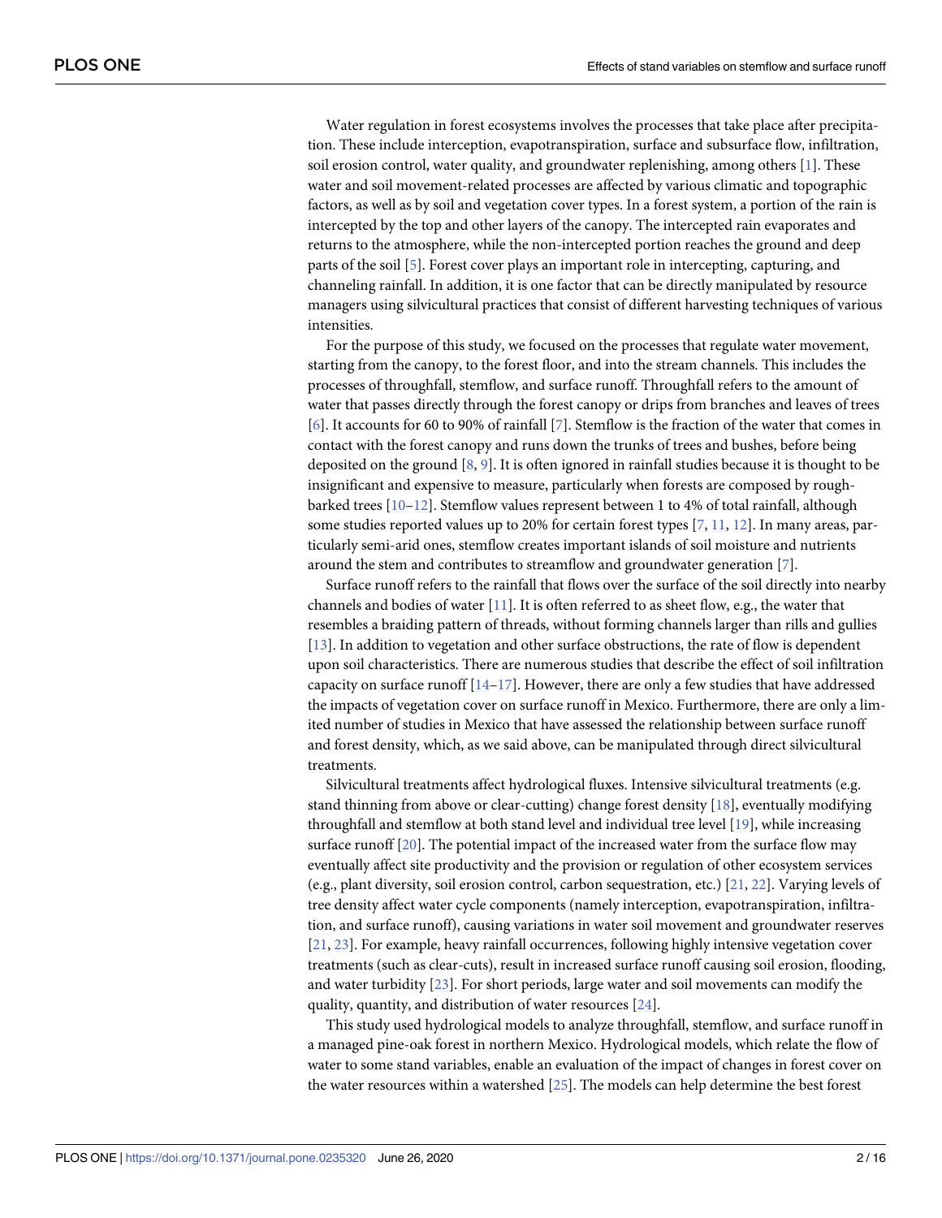<span id="page-2-0"></span>Water regulation in forest ecosystems involves the processes that take place after precipitation. These include interception, evapotranspiration, surface and subsurface flow, infiltration, soil erosion control, water quality, and groundwater replenishing, among others [\[1](#page-13-0)]. These water and soil movement-related processes are affected by various climatic and topographic factors, as well as by soil and vegetation cover types. In a forest system, a portion of the rain is intercepted by the top and other layers of the canopy. The intercepted rain evaporates and returns to the atmosphere, while the non-intercepted portion reaches the ground and deep parts of the soil [\[5](#page-14-0)]. Forest cover plays an important role in intercepting, capturing, and channeling rainfall. In addition, it is one factor that can be directly manipulated by resource managers using silvicultural practices that consist of different harvesting techniques of various intensities.

For the purpose of this study, we focused on the processes that regulate water movement, starting from the canopy, to the forest floor, and into the stream channels. This includes the processes of throughfall, stemflow, and surface runoff. Throughfall refers to the amount of water that passes directly through the forest canopy or drips from branches and leaves of trees [\[6](#page-14-0)]. It accounts for 60 to 90% of rainfall [\[7\]](#page-14-0). Stemflow is the fraction of the water that comes in contact with the forest canopy and runs down the trunks of trees and bushes, before being deposited on the ground  $[8, 9]$  $[8, 9]$  $[8, 9]$  $[8, 9]$ . It is often ignored in rainfall studies because it is thought to be insignificant and expensive to measure, particularly when forests are composed by roughbarked trees [\[10–12](#page-14-0)]. Stemflow values represent between 1 to 4% of total rainfall, although some studies reported values up to 20% for certain forest types [\[7,](#page-14-0) [11,](#page-14-0) [12\]](#page-14-0). In many areas, particularly semi-arid ones, stemflow creates important islands of soil moisture and nutrients around the stem and contributes to streamflow and groundwater generation [\[7](#page-14-0)].

Surface runoff refers to the rainfall that flows over the surface of the soil directly into nearby channels and bodies of water [[11](#page-14-0)]. It is often referred to as sheet flow, e.g., the water that resembles a braiding pattern of threads, without forming channels larger than rills and gullies [\[13\]](#page-14-0). In addition to vegetation and other surface obstructions, the rate of flow is dependent upon soil characteristics. There are numerous studies that describe the effect of soil infiltration capacity on surface runoff  $[14-17]$  $[14-17]$  $[14-17]$  $[14-17]$  $[14-17]$ . However, there are only a few studies that have addressed the impacts of vegetation cover on surface runoff in Mexico. Furthermore, there are only a limited number of studies in Mexico that have assessed the relationship between surface runoff and forest density, which, as we said above, can be manipulated through direct silvicultural treatments.

Silvicultural treatments affect hydrological fluxes. Intensive silvicultural treatments (e.g. stand thinning from above or clear-cutting) change forest density [\[18\]](#page-14-0), eventually modifying throughfall and stemflow at both stand level and individual tree level [[19](#page-14-0)], while increasing surface runoff [\[20\]](#page-14-0). The potential impact of the increased water from the surface flow may eventually affect site productivity and the provision or regulation of other ecosystem services (e.g., plant diversity, soil erosion control, carbon sequestration, etc.) [[21](#page-14-0), [22](#page-14-0)]. Varying levels of tree density affect water cycle components (namely interception, evapotranspiration, infiltration, and surface runoff), causing variations in water soil movement and groundwater reserves [\[21,](#page-14-0) [23\]](#page-14-0). For example, heavy rainfall occurrences, following highly intensive vegetation cover treatments (such as clear-cuts), result in increased surface runoff causing soil erosion, flooding, and water turbidity [\[23\]](#page-14-0). For short periods, large water and soil movements can modify the quality, quantity, and distribution of water resources [\[24\]](#page-14-0).

This study used hydrological models to analyze throughfall, stemflow, and surface runoff in a managed pine-oak forest in northern Mexico. Hydrological models, which relate the flow of water to some stand variables, enable an evaluation of the impact of changes in forest cover on the water resources within a watershed [[25](#page-15-0)]. The models can help determine the best forest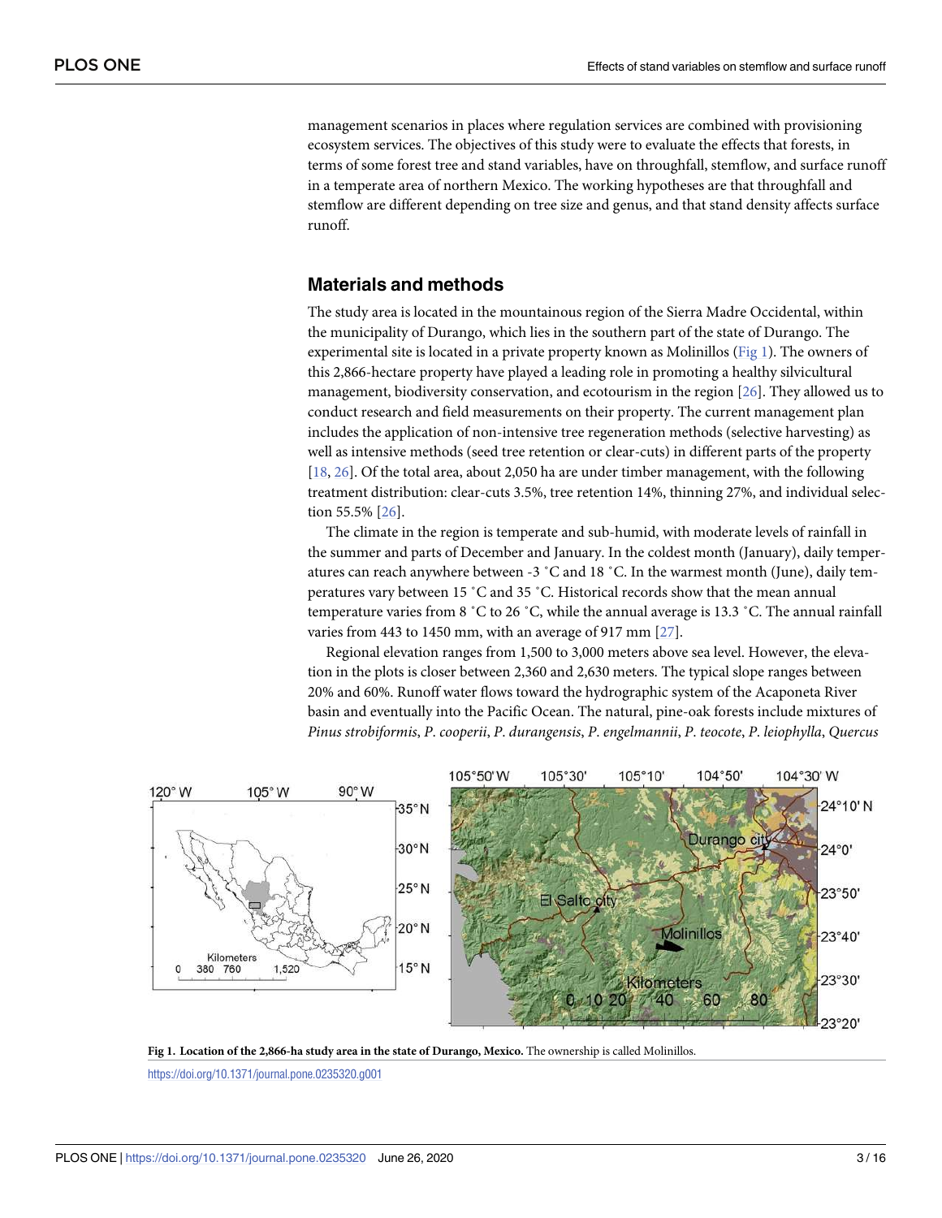<span id="page-3-0"></span>management scenarios in places where regulation services are combined with provisioning ecosystem services. The objectives of this study were to evaluate the effects that forests, in terms of some forest tree and stand variables, have on throughfall, stemflow, and surface runoff in a temperate area of northern Mexico. The working hypotheses are that throughfall and stemflow are different depending on tree size and genus, and that stand density affects surface runoff.

### **Materials and methods**

The study area is located in the mountainous region of the Sierra Madre Occidental, within the municipality of Durango, which lies in the southern part of the state of Durango. The experimental site is located in a private property known as Molinillos (Fig 1). The owners of this 2,866-hectare property have played a leading role in promoting a healthy silvicultural management, biodiversity conservation, and ecotourism in the region [[26](#page-15-0)]. They allowed us to conduct research and field measurements on their property. The current management plan includes the application of non-intensive tree regeneration methods (selective harvesting) as well as intensive methods (seed tree retention or clear-cuts) in different parts of the property [\[18,](#page-14-0) [26\]](#page-15-0). Of the total area, about 2,050 ha are under timber management, with the following treatment distribution: clear-cuts 3.5%, tree retention 14%, thinning 27%, and individual selection 55.5% [\[26\]](#page-15-0).

The climate in the region is temperate and sub-humid, with moderate levels of rainfall in the summer and parts of December and January. In the coldest month (January), daily temperatures can reach anywhere between -3 ˚C and 18 ˚C. In the warmest month (June), daily temperatures vary between 15 ˚C and 35 ˚C. Historical records show that the mean annual temperature varies from 8 ˚C to 26 ˚C, while the annual average is 13.3 ˚C. The annual rainfall varies from 443 to 1450 mm, with an average of 917 mm [\[27\]](#page-15-0).

Regional elevation ranges from 1,500 to 3,000 meters above sea level. However, the elevation in the plots is closer between 2,360 and 2,630 meters. The typical slope ranges between 20% and 60%. Runoff water flows toward the hydrographic system of the Acaponeta River basin and eventually into the Pacific Ocean. The natural, pine-oak forests include mixtures of *Pinus strobiformis*, *P*. *cooperii*, *P*. *durangensis*, *P*. *engelmannii*, *P*. *teocote*, *P*. *leiophylla*, *Quercus*



**Fig 1. Location of the 2,866-ha study area in the state of Durango, Mexico.** The ownership is called Molinillos.

<https://doi.org/10.1371/journal.pone.0235320.g001>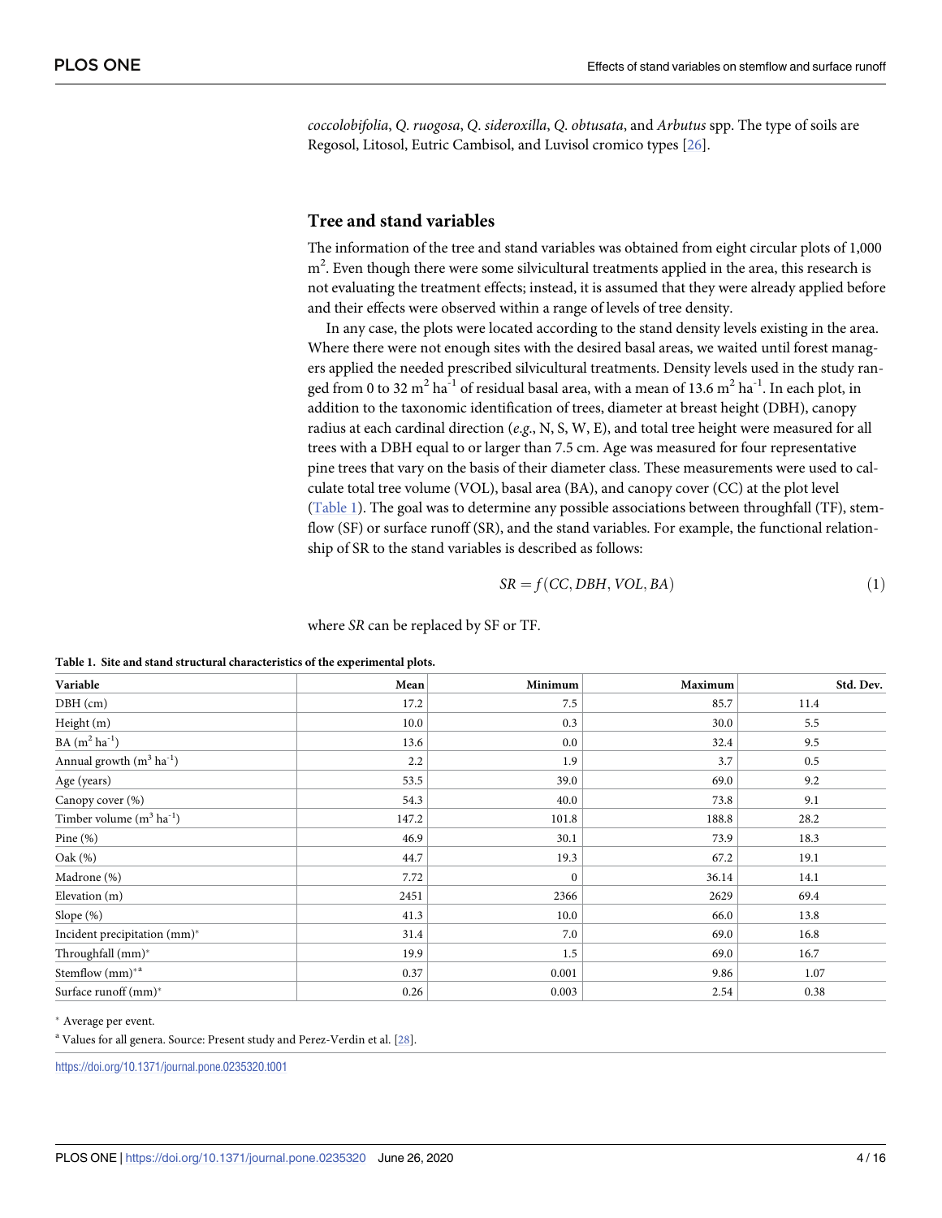<span id="page-4-0"></span>*coccolobifolia*, *Q*. *ruogosa*, *Q*. *sideroxilla*, *Q*. *obtusata*, and *Arbutus* spp. The type of soils are Regosol, Litosol, Eutric Cambisol, and Luvisol cromico types [[26](#page-15-0)].

#### **Tree and stand variables**

The information of the tree and stand variables was obtained from eight circular plots of 1,000  $m<sup>2</sup>$ . Even though there were some silvicultural treatments applied in the area, this research is not evaluating the treatment effects; instead, it is assumed that they were already applied before and their effects were observed within a range of levels of tree density.

In any case, the plots were located according to the stand density levels existing in the area. Where there were not enough sites with the desired basal areas, we waited until forest managers applied the needed prescribed silvicultural treatments. Density levels used in the study ranged from 0 to 32  $m^2$  ha<sup>-1</sup> of residual basal area, with a mean of 13.6  $m^2$  ha<sup>-1</sup>. In each plot, in addition to the taxonomic identification of trees, diameter at breast height (DBH), canopy radius at each cardinal direction (*e*.*g*., N, S, W, E), and total tree height were measured for all trees with a DBH equal to or larger than 7.5 cm. Age was measured for four representative pine trees that vary on the basis of their diameter class. These measurements were used to calculate total tree volume (VOL), basal area (BA), and canopy cover (CC) at the plot level (Table 1). The goal was to determine any possible associations between throughfall (TF), stemflow (SF) or surface runoff (SR), and the stand variables. For example, the functional relationship of SR to the stand variables is described as follows:

$$
SR = f(CC, DBH, VOL, BA)
$$
\n(1)

where *SR* can be replaced by SF or TF.

**Table 1. Site and stand structural characteristics of the experimental plots.**

| Variable                              | Mean  | Minimum  | Maximum | Std. Dev. |
|---------------------------------------|-------|----------|---------|-----------|
| DBH (cm)                              | 17.2  | 7.5      | 85.7    | 11.4      |
| Height (m)                            | 10.0  | 0.3      | 30.0    | 5.5       |
| $BA(m^2 ha^{-1})$                     | 13.6  | 0.0      | 32.4    | 9.5       |
| Annual growth $(m^3 \text{ ha}^{-1})$ | 2.2   | 1.9      | 3.7     | 0.5       |
| Age (years)                           | 53.5  | 39.0     | 69.0    | 9.2       |
| Canopy cover (%)                      | 54.3  | 40.0     | 73.8    | 9.1       |
| Timber volume $(m^3 ha^{-1})$         | 147.2 | 101.8    | 188.8   | 28.2      |
| Pine $(\%)$                           | 46.9  | 30.1     | 73.9    | 18.3      |
| Oak $(\%)$                            | 44.7  | 19.3     | 67.2    | 19.1      |
| Madrone (%)                           | 7.72  | $\Omega$ | 36.14   | 14.1      |
| Elevation (m)                         | 2451  | 2366     | 2629    | 69.4      |
| Slope $(\%)$                          | 41.3  | 10.0     | 66.0    | 13.8      |
| Incident precipitation (mm)*          | 31.4  | 7.0      | 69.0    | 16.8      |
| Throughfall (mm)*                     | 19.9  | 1.5      | 69.0    | 16.7      |
| Stemflow $(mm)^{*a}$                  | 0.37  | 0.001    | 9.86    | 1.07      |
| Surface runoff (mm)*                  | 0.26  | 0.003    | 2.54    | 0.38      |

� Average per event.

<sup>a</sup> Values for all genera. Source: Present study and Perez-Verdin et al. [[28](#page-15-0)].

<https://doi.org/10.1371/journal.pone.0235320.t001>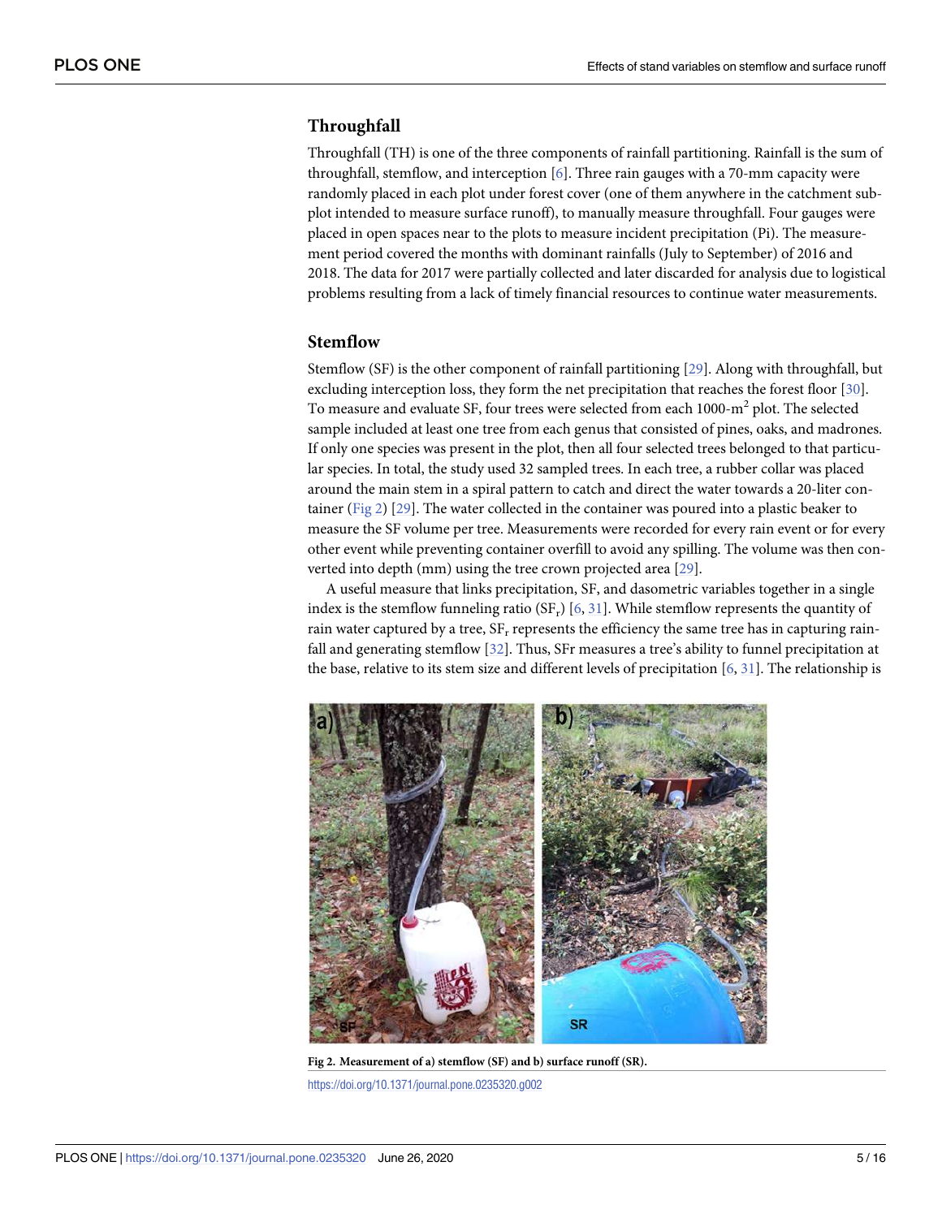# <span id="page-5-0"></span>**Throughfall**

Throughfall (TH) is one of the three components of rainfall partitioning. Rainfall is the sum of throughfall, stemflow, and interception [\[6](#page-14-0)]. Three rain gauges with a 70-mm capacity were randomly placed in each plot under forest cover (one of them anywhere in the catchment subplot intended to measure surface runoff), to manually measure throughfall. Four gauges were placed in open spaces near to the plots to measure incident precipitation (Pi). The measurement period covered the months with dominant rainfalls (July to September) of 2016 and 2018. The data for 2017 were partially collected and later discarded for analysis due to logistical problems resulting from a lack of timely financial resources to continue water measurements.

## **Stemflow**

Stemflow (SF) is the other component of rainfall partitioning [[29](#page-15-0)]. Along with throughfall, but excluding interception loss, they form the net precipitation that reaches the forest floor [[30](#page-15-0)]. To measure and evaluate SF, four trees were selected from each  $1000\text{-m}^2$  plot. The selected sample included at least one tree from each genus that consisted of pines, oaks, and madrones. If only one species was present in the plot, then all four selected trees belonged to that particular species. In total, the study used 32 sampled trees. In each tree, a rubber collar was placed around the main stem in a spiral pattern to catch and direct the water towards a 20-liter container (Fig 2) [[29](#page-15-0)]. The water collected in the container was poured into a plastic beaker to measure the SF volume per tree. Measurements were recorded for every rain event or for every other event while preventing container overfill to avoid any spilling. The volume was then converted into depth (mm) using the tree crown projected area [[29](#page-15-0)].

A useful measure that links precipitation, SF, and dasometric variables together in a single index is the stemflow funneling ratio  $(SF_r)$  [\[6,](#page-14-0) [31\]](#page-15-0). While stemflow represents the quantity of rain water captured by a tree,  $SF_r$  represents the efficiency the same tree has in capturing rainfall and generating stemflow [\[32\]](#page-15-0). Thus, SFr measures a tree's ability to funnel precipitation at the base, relative to its stem size and different levels of precipitation  $[6, 31]$  $[6, 31]$  $[6, 31]$  $[6, 31]$ . The relationship is



**Fig 2. Measurement of a) stemflow (SF) and b) surface runoff (SR).** <https://doi.org/10.1371/journal.pone.0235320.g002>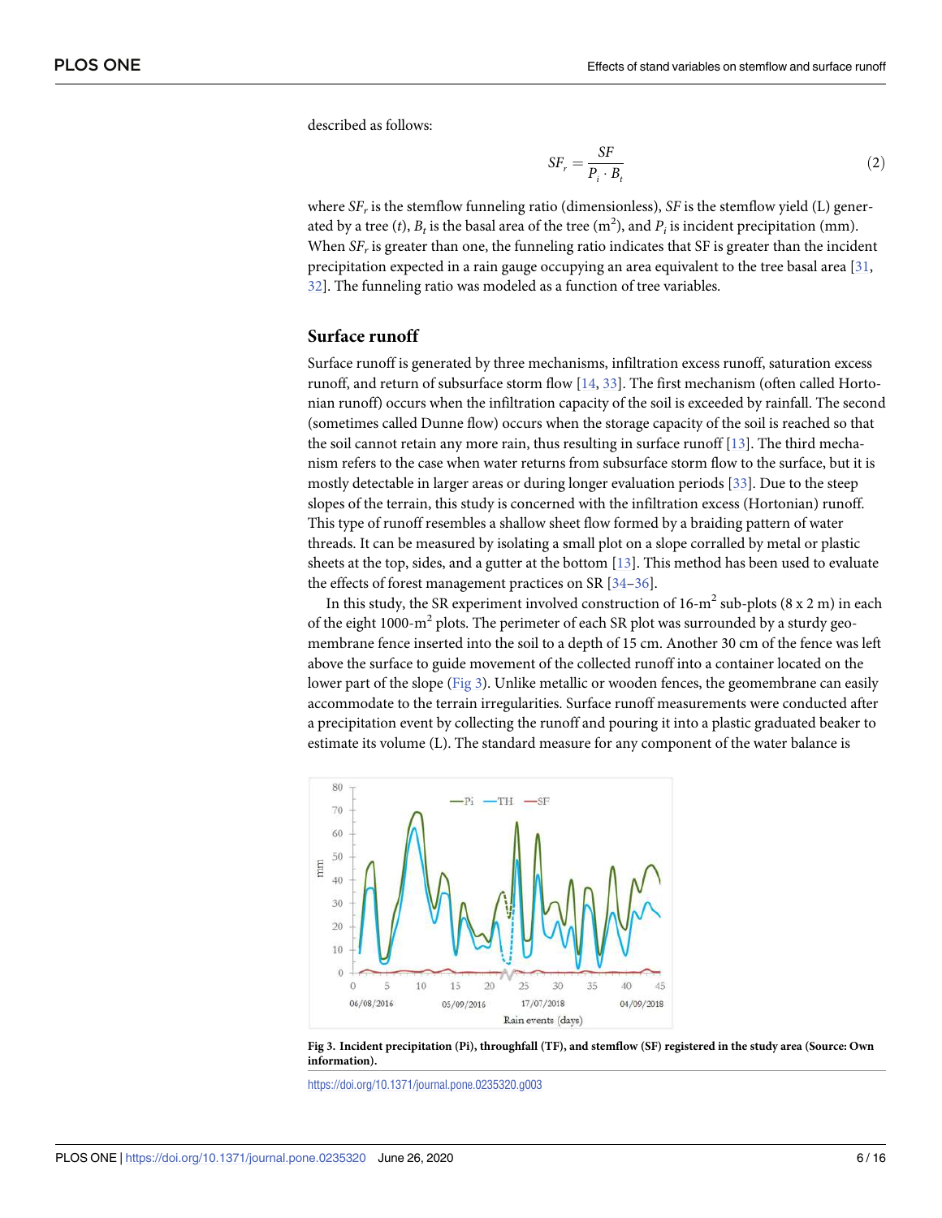<span id="page-6-0"></span>described as follows:

$$
SF_r = \frac{SF}{P_i \cdot B_t} \tag{2}
$$

where *SFr* is the stemflow funneling ratio (dimensionless), *SF* is the stemflow yield (L) generated by a tree  $(t)$ ,  $B_t$  is the basal area of the tree  $(m^2)$ , and  $P_i$  is incident precipitation  $(mm)$ . When  $SF<sub>r</sub>$  is greater than one, the funneling ratio indicates that SF is greater than the incident precipitation expected in a rain gauge occupying an area equivalent to the tree basal area [\[31](#page-15-0), [32\]](#page-15-0). The funneling ratio was modeled as a function of tree variables.

#### **Surface runoff**

Surface runoff is generated by three mechanisms, infiltration excess runoff, saturation excess runoff, and return of subsurface storm flow [[14](#page-14-0), [33](#page-15-0)]. The first mechanism (often called Hortonian runoff) occurs when the infiltration capacity of the soil is exceeded by rainfall. The second (sometimes called Dunne flow) occurs when the storage capacity of the soil is reached so that the soil cannot retain any more rain, thus resulting in surface runoff [\[13\]](#page-14-0). The third mechanism refers to the case when water returns from subsurface storm flow to the surface, but it is mostly detectable in larger areas or during longer evaluation periods [\[33\]](#page-15-0). Due to the steep slopes of the terrain, this study is concerned with the infiltration excess (Hortonian) runoff. This type of runoff resembles a shallow sheet flow formed by a braiding pattern of water threads. It can be measured by isolating a small plot on a slope corralled by metal or plastic sheets at the top, sides, and a gutter at the bottom [\[13\]](#page-14-0). This method has been used to evaluate the effects of forest management practices on SR [[34](#page-15-0)–[36](#page-15-0)].

In this study, the SR experiment involved construction of  $16\text{-}m^2$  sub-plots (8 x 2 m) in each of the eight 1000-m<sup>2</sup> plots. The perimeter of each SR plot was surrounded by a sturdy geomembrane fence inserted into the soil to a depth of 15 cm. Another 30 cm of the fence was left above the surface to guide movement of the collected runoff into a container located on the lower part of the slope (Fig 3). Unlike metallic or wooden fences, the geomembrane can easily accommodate to the terrain irregularities. Surface runoff measurements were conducted after a precipitation event by collecting the runoff and pouring it into a plastic graduated beaker to estimate its volume (L). The standard measure for any component of the water balance is



Fig 3. Incident precipitation (Pi), throughfall (TF), and stemflow (SF) registered in the study area (Source: Own **information).**

<https://doi.org/10.1371/journal.pone.0235320.g003>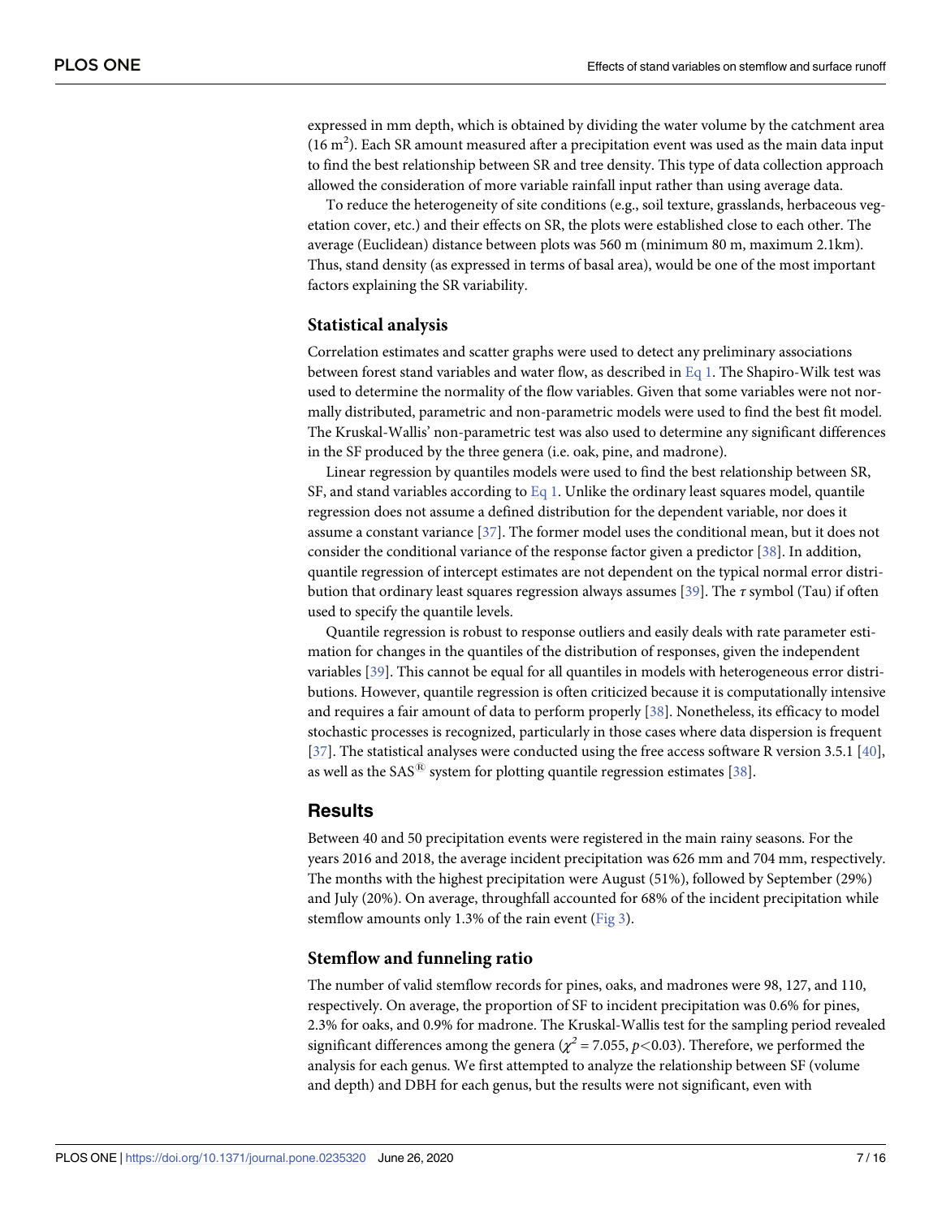<span id="page-7-0"></span>expressed in mm depth, which is obtained by dividing the water volume by the catchment area  $(16 \text{ m}^2)$ . Each SR amount measured after a precipitation event was used as the main data input to find the best relationship between SR and tree density. This type of data collection approach allowed the consideration of more variable rainfall input rather than using average data.

To reduce the heterogeneity of site conditions (e.g., soil texture, grasslands, herbaceous vegetation cover, etc.) and their effects on SR, the plots were established close to each other. The average (Euclidean) distance between plots was 560 m (minimum 80 m, maximum 2.1km). Thus, stand density (as expressed in terms of basal area), would be one of the most important factors explaining the SR variability.

#### **Statistical analysis**

Correlation estimates and scatter graphs were used to detect any preliminary associations between forest stand variables and water flow, as described in [Eq](#page-4-0) 1. The Shapiro-Wilk test was used to determine the normality of the flow variables. Given that some variables were not normally distributed, parametric and non-parametric models were used to find the best fit model. The Kruskal-Wallis' non-parametric test was also used to determine any significant differences in the SF produced by the three genera (i.e. oak, pine, and madrone).

Linear regression by quantiles models were used to find the best relationship between SR, SF, and stand variables according to [Eq](#page-4-0) 1. Unlike the ordinary least squares model, quantile regression does not assume a defined distribution for the dependent variable, nor does it assume a constant variance [[37](#page-15-0)]. The former model uses the conditional mean, but it does not consider the conditional variance of the response factor given a predictor [\[38\]](#page-15-0). In addition, quantile regression of intercept estimates are not dependent on the typical normal error distribution that ordinary least squares regression always assumes [\[39\]](#page-15-0). The *τ* symbol (Tau) if often used to specify the quantile levels.

Quantile regression is robust to response outliers and easily deals with rate parameter estimation for changes in the quantiles of the distribution of responses, given the independent variables [[39](#page-15-0)]. This cannot be equal for all quantiles in models with heterogeneous error distributions. However, quantile regression is often criticized because it is computationally intensive and requires a fair amount of data to perform properly [\[38\]](#page-15-0). Nonetheless, its efficacy to model stochastic processes is recognized, particularly in those cases where data dispersion is frequent [\[37\]](#page-15-0). The statistical analyses were conducted using the free access software R version 3.5.1 [[40](#page-15-0)], as well as the  $SAS^{\circledR}$  system for plotting quantile regression estimates [[38\]](#page-15-0).

## **Results**

Between 40 and 50 precipitation events were registered in the main rainy seasons. For the years 2016 and 2018, the average incident precipitation was 626 mm and 704 mm, respectively. The months with the highest precipitation were August (51%), followed by September (29%) and July (20%). On average, throughfall accounted for 68% of the incident precipitation while stemflow amounts only 1.3% of the rain event [\(Fig](#page-6-0) 3).

#### **Stemflow and funneling ratio**

The number of valid stemflow records for pines, oaks, and madrones were 98, 127, and 110, respectively. On average, the proportion of SF to incident precipitation was 0.6% for pines, 2.3% for oaks, and 0.9% for madrone. The Kruskal-Wallis test for the sampling period revealed significant differences among the genera ( $\chi^2$  = 7.055,  $p$ <0.03). Therefore, we performed the analysis for each genus. We first attempted to analyze the relationship between SF (volume and depth) and DBH for each genus, but the results were not significant, even with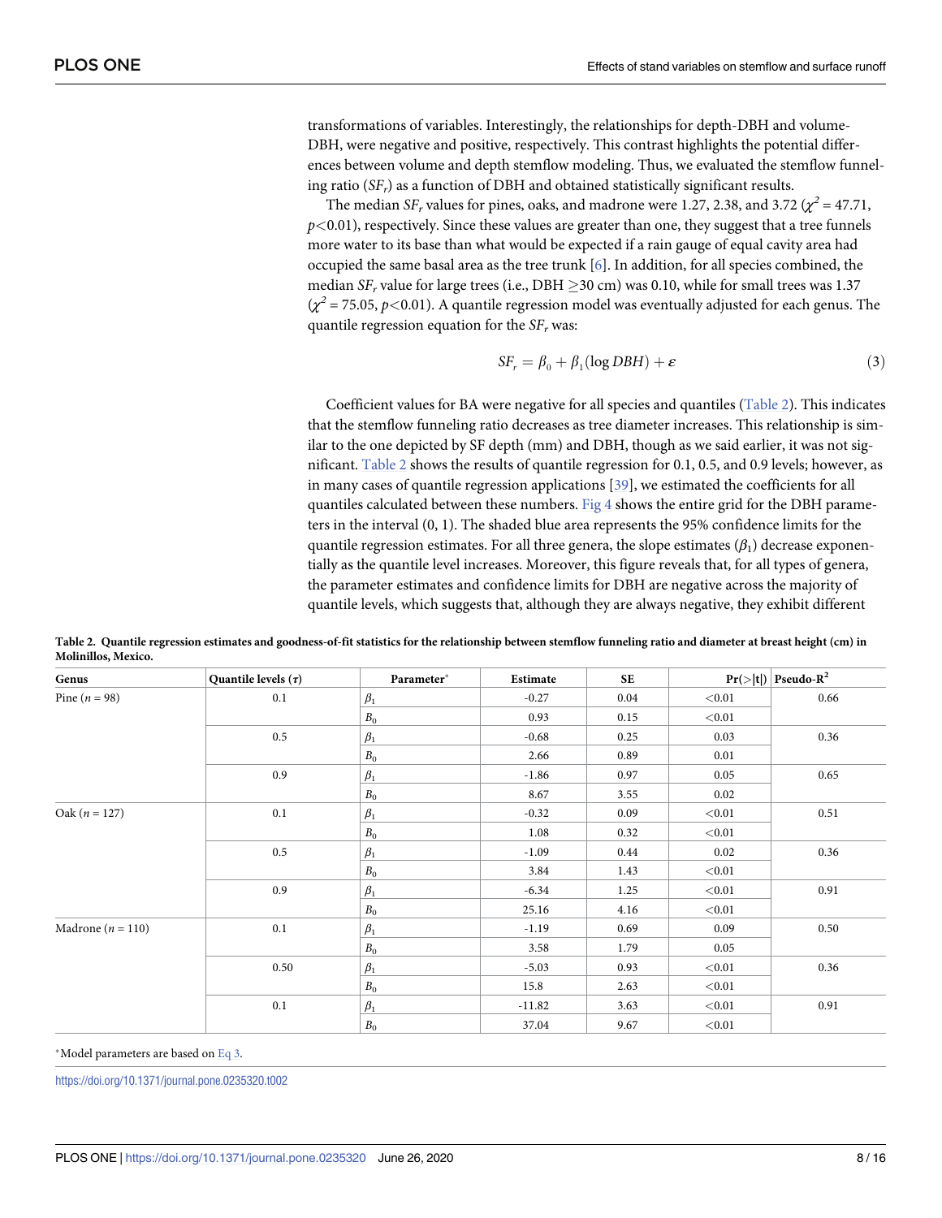<span id="page-8-0"></span>transformations of variables. Interestingly, the relationships for depth-DBH and volume-DBH, were negative and positive, respectively. This contrast highlights the potential differences between volume and depth stemflow modeling. Thus, we evaluated the stemflow funneling ratio (*SFr*) as a function of DBH and obtained statistically significant results.

The median *SF<sub>r</sub>* values for pines, oaks, and madrone were 1.27, 2.38, and 3.72 ( $\chi^2 = 47.71$ ,  $p$ <0.01), respectively. Since these values are greater than one, they suggest that a tree funnels more water to its base than what would be expected if a rain gauge of equal cavity area had occupied the same basal area as the tree trunk [[6](#page-14-0)]. In addition, for all species combined, the median  $SF_r$  value for large trees (i.e., DBH  $\geq$ 30 cm) was 0.10, while for small trees was 1.37  $(\chi^2 = 75.05, p < 0.01)$ . A quantile regression model was eventually adjusted for each genus. The quantile regression equation for the  $SF<sub>r</sub>$  was:

$$
SF_r = \beta_0 + \beta_1 (\log DBH) + \varepsilon \tag{3}
$$

Coefficient values for BA were negative for all species and quantiles (Table 2). This indicates that the stemflow funneling ratio decreases as tree diameter increases. This relationship is similar to the one depicted by SF depth (mm) and DBH, though as we said earlier, it was not significant. Table 2 shows the results of quantile regression for 0.1, 0.5, and 0.9 levels; however, as in many cases of quantile regression applications [\[39\]](#page-15-0), we estimated the coefficients for all quantiles calculated between these numbers. [Fig](#page-9-0) 4 shows the entire grid for the DBH parameters in the interval (0, 1). The shaded blue area represents the 95% confidence limits for the quantile regression estimates. For all three genera, the slope estimates (*β*1) decrease exponentially as the quantile level increases. Moreover, this figure reveals that, for all types of genera, the parameter estimates and confidence limits for DBH are negative across the majority of quantile levels, which suggests that, although they are always negative, they exhibit different

| Genus                 | Quantile levels $(\tau)$ | Parameter*         | Estimate | <b>SE</b> |             | $Pr(> t )$ Pseudo-R <sup>2</sup> |
|-----------------------|--------------------------|--------------------|----------|-----------|-------------|----------------------------------|
| Pine ( $n = 98$ )     | 0.1                      | $\beta_1$          | $-0.27$  | 0.04      | < 0.01      | 0.66                             |
|                       |                          | $\boldsymbol{B}_0$ | 0.93     | 0.15      | < 0.01      |                                  |
|                       | $0.5\,$                  | $\beta_1$          | $-0.68$  | 0.25      | 0.03        | 0.36                             |
|                       |                          | $\mathcal{B}_0$    | 2.66     | 0.89      | 0.01        |                                  |
|                       | 0.9                      | $\beta_1$          | $-1.86$  | 0.97      | 0.05        | 0.65                             |
|                       |                          | $\boldsymbol{B}_0$ | 8.67     | 3.55      | 0.02        |                                  |
| Oak ( $n = 127$ )     | 0.1                      | $\beta_1$          | $-0.32$  | 0.09      | < 0.01      | 0.51                             |
|                       |                          | $\boldsymbol{B}_0$ | 1.08     | 0.32      | < 0.01      |                                  |
|                       | $0.5\,$                  | $\beta_1$          | $-1.09$  | 0.44      | 0.02        | 0.36                             |
|                       |                          | $\mathcal{B}_0$    | 3.84     | 1.43      | < 0.01      |                                  |
|                       | 0.9                      | $\beta_1$          | $-6.34$  | 1.25      | < 0.01      | 0.91                             |
|                       |                          | $\boldsymbol{B}_0$ | 25.16    | 4.16      | < 0.01      |                                  |
| Madrone ( $n = 110$ ) | 0.1                      | $\beta_1$          | $-1.19$  | 0.69      | 0.09        | 0.50                             |
|                       |                          | $\boldsymbol{B}_0$ | 3.58     | 1.79      | 0.05        |                                  |
|                       | 0.50                     | $\beta_1$          | $-5.03$  | 0.93      | < 0.01      | 0.36                             |
|                       |                          | $\mathcal{B}_0$    | 15.8     | 2.63      | < 0.01      |                                  |
|                       | 0.1                      | $\beta_1$          | $-11.82$ | 3.63      | < 0.01      | 0.91                             |
|                       |                          | $\boldsymbol{B}_0$ | 37.04    | 9.67      | $<\!\!0.01$ |                                  |

Table 2. Quantile regression estimates and goodness-of-fit statistics for the relationship between stemflow funneling ratio and diameter at breast height (cm) in **Molinillos, Mexico.**

\*Model parameters are based on Eq 3.

<https://doi.org/10.1371/journal.pone.0235320.t002>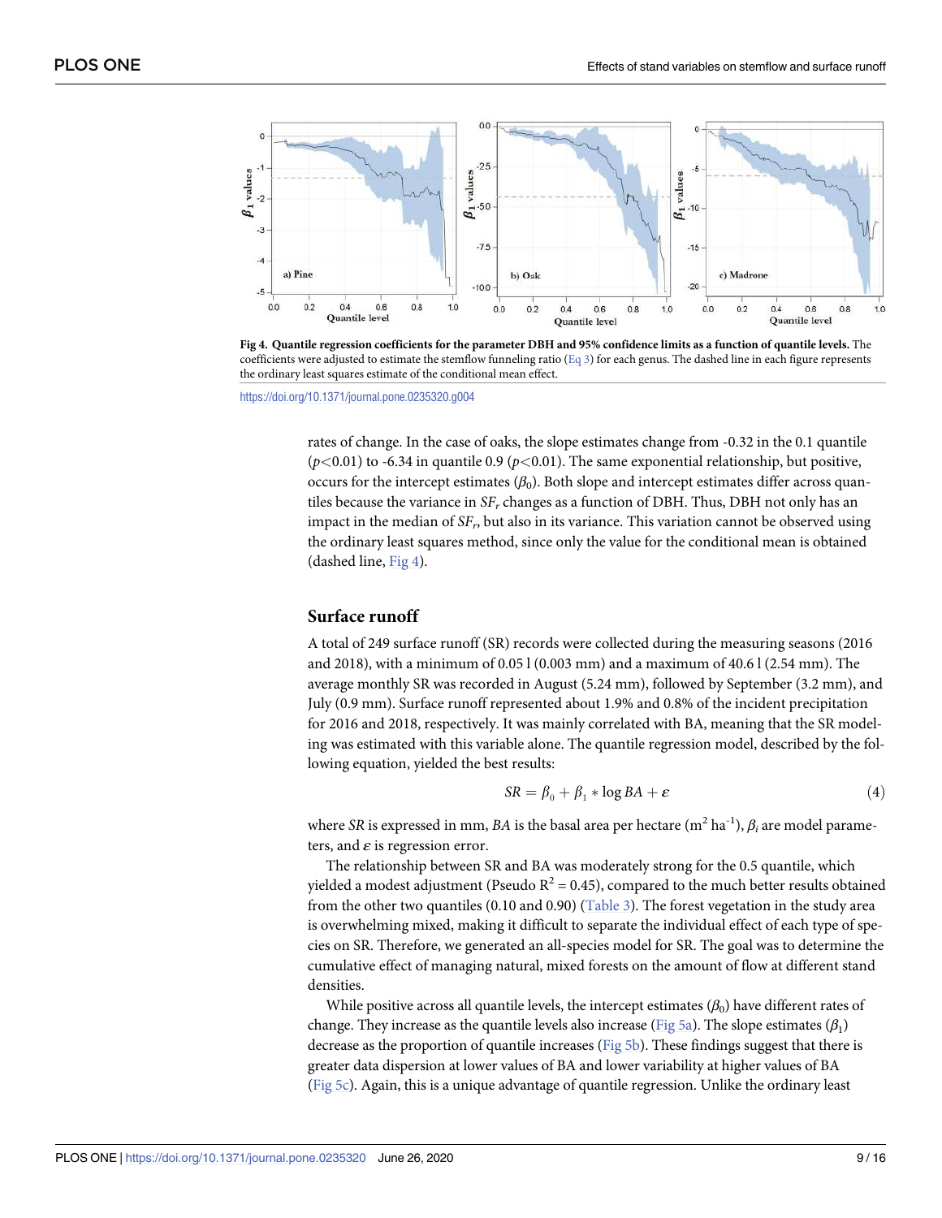<span id="page-9-0"></span>

[Fig](#page-8-0) 4. Quantile regression coefficients for the parameter DBH and 95% confidence limits as a function of quantile levels. The coefficients were adjusted to estimate the stemflow funneling ratio [\(Eq](#page-8-0) 3) for each genus. The dashed line in each figure represents the ordinary least squares estimate of the conditional mean effect.

<https://doi.org/10.1371/journal.pone.0235320.g004>

rates of change. In the case of oaks, the slope estimates change from -0.32 in the 0.1 quantile ( $p$ <0.01) to -6.34 in quantile 0.9 ( $p$ <0.01). The same exponential relationship, but positive, occurs for the intercept estimates  $(\beta_0)$ . Both slope and intercept estimates differ across quantiles because the variance in *SFr* changes as a function of DBH. Thus, DBH not only has an impact in the median of *SFr*, but also in its variance. This variation cannot be observed using the ordinary least squares method, since only the value for the conditional mean is obtained (dashed line, Fig 4).

### **Surface runoff**

A total of 249 surface runoff (SR) records were collected during the measuring seasons (2016 and 2018), with a minimum of 0.05 l (0.003 mm) and a maximum of 40.6 l (2.54 mm). The average monthly SR was recorded in August (5.24 mm), followed by September (3.2 mm), and July (0.9 mm). Surface runoff represented about 1.9% and 0.8% of the incident precipitation for 2016 and 2018, respectively. It was mainly correlated with BA, meaning that the SR modeling was estimated with this variable alone. The quantile regression model, described by the following equation, yielded the best results:

$$
SR = \beta_0 + \beta_1 * \log BA + \varepsilon \tag{4}
$$

where *SR* is expressed in mm, *BA* is the basal area per hectare  $(m^2 \text{ ha}^{-1})$ ,  $\beta_i$  are model parameters, and *ε* is regression error.

The relationship between SR and BA was moderately strong for the 0.5 quantile, which yielded a modest adjustment (Pseudo  $R^2 = 0.45$ ), compared to the much better results obtained from the other two quantiles (0.10 and 0.90) ([Table](#page-10-0) 3). The forest vegetation in the study area is overwhelming mixed, making it difficult to separate the individual effect of each type of species on SR. Therefore, we generated an all-species model for SR. The goal was to determine the cumulative effect of managing natural, mixed forests on the amount of flow at different stand densities.

While positive across all quantile levels, the intercept estimates  $(\beta_0)$  have different rates of change. They increase as the quantile levels also increase [\(Fig](#page-10-0) 5a). The slope estimates (*β*1) decrease as the proportion of quantile increases ([Fig](#page-10-0) 5b). These findings suggest that there is greater data dispersion at lower values of BA and lower variability at higher values of BA [\(Fig](#page-10-0) 5c). Again, this is a unique advantage of quantile regression. Unlike the ordinary least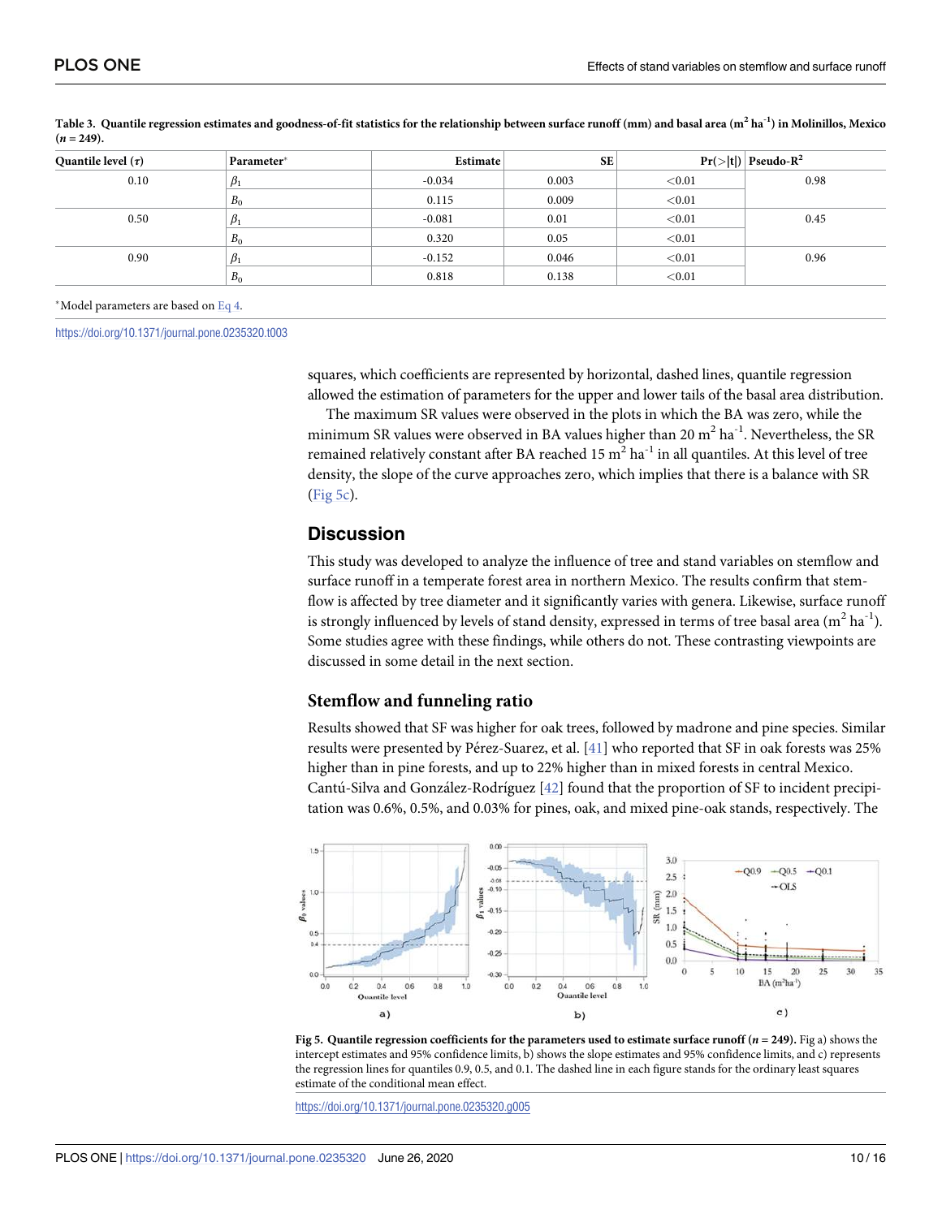| Quantile level $(\tau)$ | Parameter* | Estimate | <b>SE</b> |        | $Pr(> t )$ Pseudo-R <sup>2</sup> |
|-------------------------|------------|----------|-----------|--------|----------------------------------|
| 0.10                    | $\beta_1$  | $-0.034$ | 0.003     | < 0.01 | 0.98                             |
|                         | $B_0$      | 0.115    | 0.009     | < 0.01 |                                  |
| 0.50                    | $\beta_1$  | $-0.081$ | 0.01      | < 0.01 | 0.45                             |
|                         | $B_0$      | 0.320    | 0.05      | < 0.01 |                                  |
| 0.90                    | $\beta_1$  | $-0.152$ | 0.046     | < 0.01 | 0.96                             |
|                         | $B_0$      | 0.818    | 0.138     | < 0.01 |                                  |
|                         |            |          |           |        |                                  |

<span id="page-10-0"></span>[Table](#page-9-0) 3. Quantile regression estimates and goodness-of-fit statistics for the relationship between surface runoff  $(nm)$  and basal area  $(m^2 \, ha^{-1})$  in Molinillos, Mexico  $(n = 249)$ .

#### �Model parameters are based on [Eq](#page-9-0) 4.

<https://doi.org/10.1371/journal.pone.0235320.t003>

squares, which coefficients are represented by horizontal, dashed lines, quantile regression allowed the estimation of parameters for the upper and lower tails of the basal area distribution.

The maximum SR values were observed in the plots in which the BA was zero, while the minimum SR values were observed in BA values higher than  $20 \text{ m}^2 \text{ ha}^{-1}$ . Nevertheless, the SR remained relatively constant after BA reached  $15 \text{ m}^2 \text{ ha}^{-1}$  in all quantiles. At this level of tree density, the slope of the curve approaches zero, which implies that there is a balance with SR (Fig 5c).

# **Discussion**

This study was developed to analyze the influence of tree and stand variables on stemflow and surface runoff in a temperate forest area in northern Mexico. The results confirm that stemflow is affected by tree diameter and it significantly varies with genera. Likewise, surface runoff is strongly influenced by levels of stand density, expressed in terms of tree basal area  $(m^2 \text{ ha}^{-1})$ . Some studies agree with these findings, while others do not. These contrasting viewpoints are discussed in some detail in the next section.

#### **Stemflow and funneling ratio**

Results showed that SF was higher for oak trees, followed by madrone and pine species. Similar results were presented by Pérez-Suarez, et al. [[41](#page-15-0)] who reported that SF in oak forests was 25% higher than in pine forests, and up to 22% higher than in mixed forests in central Mexico. Cantú-Silva and González-Rodríguez [[42](#page-15-0)] found that the proportion of SF to incident precipitation was 0.6%, 0.5%, and 0.03% for pines, oak, and mixed pine-oak stands, respectively. The





<https://doi.org/10.1371/journal.pone.0235320.g005>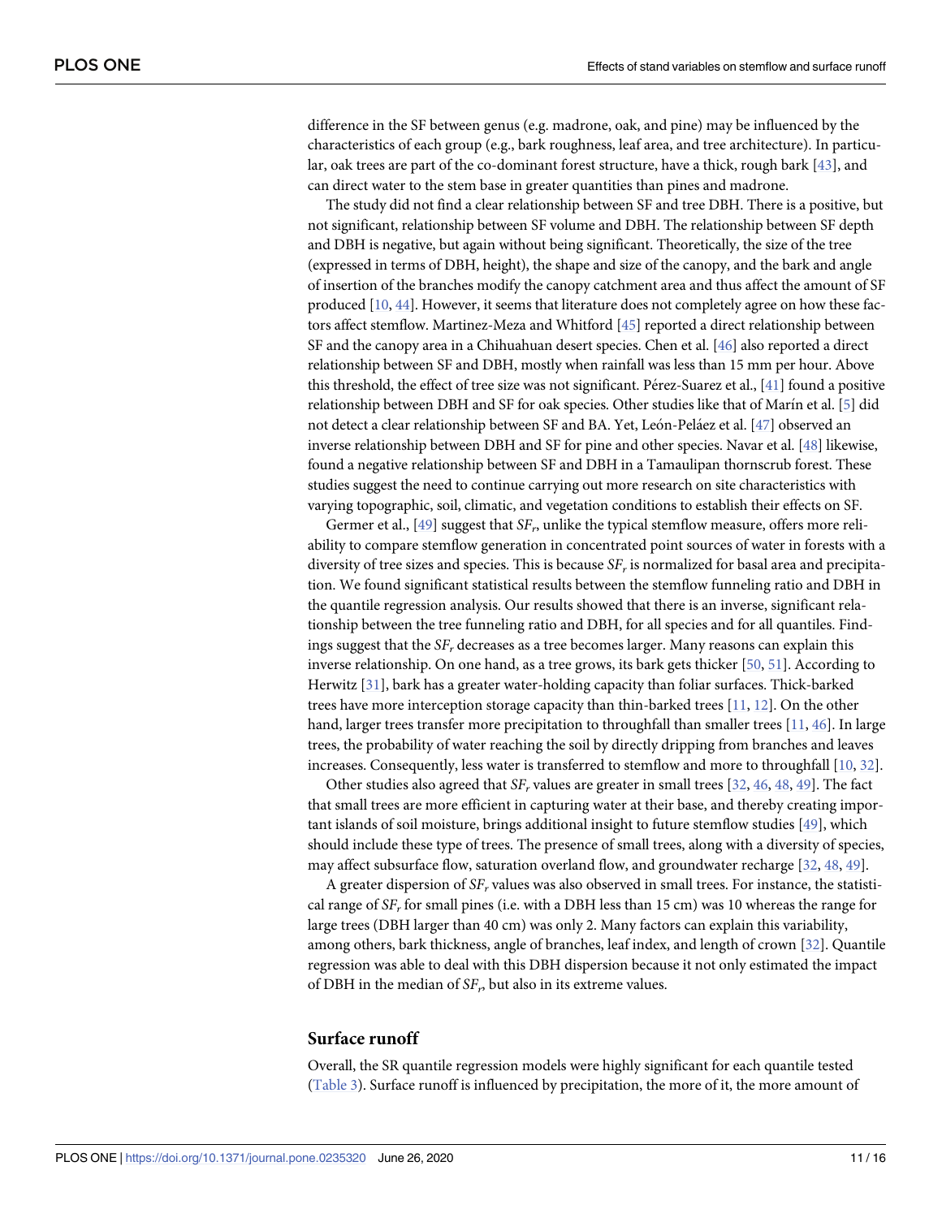<span id="page-11-0"></span>difference in the SF between genus (e.g. madrone, oak, and pine) may be influenced by the characteristics of each group (e.g., bark roughness, leaf area, and tree architecture). In particular, oak trees are part of the co-dominant forest structure, have a thick, rough bark [[43](#page-15-0)], and can direct water to the stem base in greater quantities than pines and madrone.

The study did not find a clear relationship between SF and tree DBH. There is a positive, but not significant, relationship between SF volume and DBH. The relationship between SF depth and DBH is negative, but again without being significant. Theoretically, the size of the tree (expressed in terms of DBH, height), the shape and size of the canopy, and the bark and angle of insertion of the branches modify the canopy catchment area and thus affect the amount of SF produced [\[10,](#page-14-0) [44](#page-15-0)]. However, it seems that literature does not completely agree on how these factors affect stemflow. Martinez-Meza and Whitford [\[45\]](#page-16-0) reported a direct relationship between SF and the canopy area in a Chihuahuan desert species. Chen et al. [[46](#page-16-0)] also reported a direct relationship between SF and DBH, mostly when rainfall was less than 15 mm per hour. Above this threshold, the effect of tree size was not significant. Pérez-Suarez et al., [[41\]](#page-15-0) found a positive relationship between DBH and SF for oak species. Other studies like that of Marín et al. [\[5\]](#page-14-0) did not detect a clear relationship between SF and BA. Yet, León-Peláez et al. [\[47\]](#page-16-0) observed an inverse relationship between DBH and SF for pine and other species. Navar et al. [\[48\]](#page-16-0) likewise, found a negative relationship between SF and DBH in a Tamaulipan thornscrub forest. These studies suggest the need to continue carrying out more research on site characteristics with varying topographic, soil, climatic, and vegetation conditions to establish their effects on SF.

Germer et al., [[49](#page-16-0)] suggest that *SF<sub>r</sub>*, unlike the typical stemflow measure, offers more reliability to compare stemflow generation in concentrated point sources of water in forests with a diversity of tree sizes and species. This is because *SFr* is normalized for basal area and precipitation. We found significant statistical results between the stemflow funneling ratio and DBH in the quantile regression analysis. Our results showed that there is an inverse, significant relationship between the tree funneling ratio and DBH, for all species and for all quantiles. Findings suggest that the *SFr* decreases as a tree becomes larger. Many reasons can explain this inverse relationship. On one hand, as a tree grows, its bark gets thicker [\[50,](#page-16-0) [51\]](#page-16-0). According to Herwitz [[31](#page-15-0)], bark has a greater water-holding capacity than foliar surfaces. Thick-barked trees have more interception storage capacity than thin-barked trees [\[11,](#page-14-0) [12\]](#page-14-0). On the other hand, larger trees transfer more precipitation to throughfall than smaller trees [\[11,](#page-14-0) [46\]](#page-16-0). In large trees, the probability of water reaching the soil by directly dripping from branches and leaves increases. Consequently, less water is transferred to stemflow and more to throughfall [\[10,](#page-14-0) [32\]](#page-15-0).

Other studies also agreed that  $SF_r$  values are greater in small trees  $[32, 46, 48, 49]$  $[32, 46, 48, 49]$  $[32, 46, 48, 49]$  $[32, 46, 48, 49]$  $[32, 46, 48, 49]$  $[32, 46, 48, 49]$  $[32, 46, 48, 49]$  $[32, 46, 48, 49]$  $[32, 46, 48, 49]$ . The fact that small trees are more efficient in capturing water at their base, and thereby creating important islands of soil moisture, brings additional insight to future stemflow studies [\[49\]](#page-16-0), which should include these type of trees. The presence of small trees, along with a diversity of species, may affect subsurface flow, saturation overland flow, and groundwater recharge [[32](#page-15-0), [48](#page-16-0), [49](#page-16-0)].

A greater dispersion of *SFr* values was also observed in small trees. For instance, the statistical range of *SFr* for small pines (i.e. with a DBH less than 15 cm) was 10 whereas the range for large trees (DBH larger than 40 cm) was only 2. Many factors can explain this variability, among others, bark thickness, angle of branches, leaf index, and length of crown [[32](#page-15-0)]. Quantile regression was able to deal with this DBH dispersion because it not only estimated the impact of DBH in the median of  $SF<sub>n</sub>$  but also in its extreme values.

#### **Surface runoff**

Overall, the SR quantile regression models were highly significant for each quantile tested [\(Table](#page-10-0) 3). Surface runoff is influenced by precipitation, the more of it, the more amount of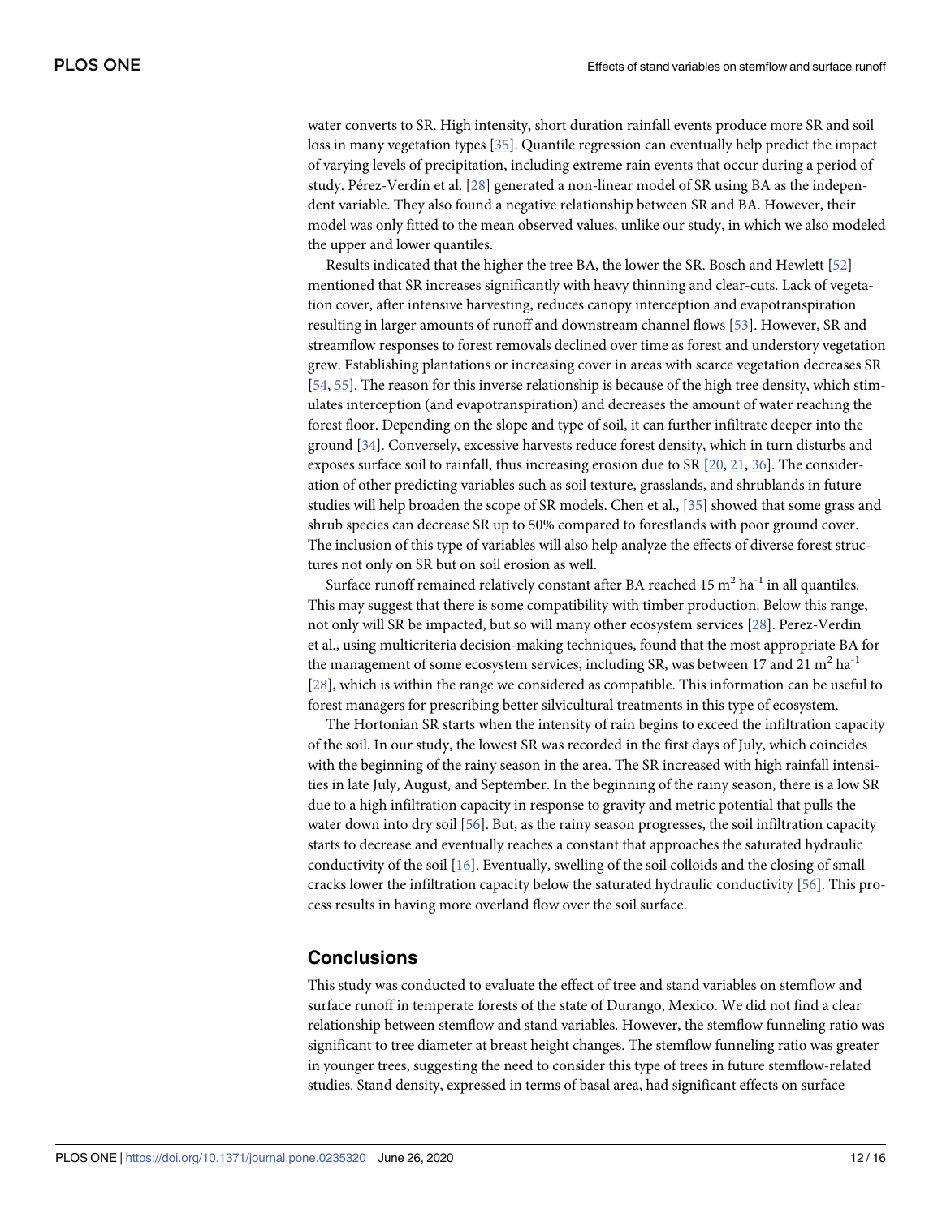<span id="page-12-0"></span>water converts to SR. High intensity, short duration rainfall events produce more SR and soil loss in many vegetation types [[35](#page-15-0)]. Quantile regression can eventually help predict the impact of varying levels of precipitation, including extreme rain events that occur during a period of study. Pérez-Verdín et al. [\[28\]](#page-15-0) generated a non-linear model of SR using BA as the independent variable. They also found a negative relationship between SR and BA. However, their model was only fitted to the mean observed values, unlike our study, in which we also modeled the upper and lower quantiles.

Results indicated that the higher the tree BA, the lower the SR. Bosch and Hewlett [\[52\]](#page-16-0) mentioned that SR increases significantly with heavy thinning and clear-cuts. Lack of vegetation cover, after intensive harvesting, reduces canopy interception and evapotranspiration resulting in larger amounts of runoff and downstream channel flows [\[53\]](#page-16-0). However, SR and streamflow responses to forest removals declined over time as forest and understory vegetation grew. Establishing plantations or increasing cover in areas with scarce vegetation decreases SR [\[54,](#page-16-0) [55\]](#page-16-0). The reason for this inverse relationship is because of the high tree density, which stimulates interception (and evapotranspiration) and decreases the amount of water reaching the forest floor. Depending on the slope and type of soil, it can further infiltrate deeper into the ground [\[34\]](#page-15-0). Conversely, excessive harvests reduce forest density, which in turn disturbs and exposes surface soil to rainfall, thus increasing erosion due to SR  $[20, 21, 36]$  $[20, 21, 36]$  $[20, 21, 36]$  $[20, 21, 36]$  $[20, 21, 36]$  $[20, 21, 36]$  $[20, 21, 36]$ . The consideration of other predicting variables such as soil texture, grasslands, and shrublands in future studies will help broaden the scope of SR models. Chen et al., [\[35\]](#page-15-0) showed that some grass and shrub species can decrease SR up to 50% compared to forestlands with poor ground cover. The inclusion of this type of variables will also help analyze the effects of diverse forest structures not only on SR but on soil erosion as well.

Surface runoff remained relatively constant after BA reached  $15 \text{ m}^2$  ha<sup>-1</sup> in all quantiles. This may suggest that there is some compatibility with timber production. Below this range, not only will SR be impacted, but so will many other ecosystem services [\[28\]](#page-15-0). Perez-Verdin et al., using multicriteria decision-making techniques, found that the most appropriate BA for the management of some ecosystem services, including SR, was between 17 and 21  $m^2$  ha<sup>-1</sup> [\[28\]](#page-15-0), which is within the range we considered as compatible. This information can be useful to forest managers for prescribing better silvicultural treatments in this type of ecosystem.

The Hortonian SR starts when the intensity of rain begins to exceed the infiltration capacity of the soil. In our study, the lowest SR was recorded in the first days of July, which coincides with the beginning of the rainy season in the area. The SR increased with high rainfall intensities in late July, August, and September. In the beginning of the rainy season, there is a low SR due to a high infiltration capacity in response to gravity and metric potential that pulls the water down into dry soil [[56](#page-16-0)]. But, as the rainy season progresses, the soil infiltration capacity starts to decrease and eventually reaches a constant that approaches the saturated hydraulic conductivity of the soil [\[16\]](#page-14-0). Eventually, swelling of the soil colloids and the closing of small cracks lower the infiltration capacity below the saturated hydraulic conductivity [\[56\]](#page-16-0). This process results in having more overland flow over the soil surface.

## **Conclusions**

This study was conducted to evaluate the effect of tree and stand variables on stemflow and surface runoff in temperate forests of the state of Durango, Mexico. We did not find a clear relationship between stemflow and stand variables. However, the stemflow funneling ratio was significant to tree diameter at breast height changes. The stemflow funneling ratio was greater in younger trees, suggesting the need to consider this type of trees in future stemflow-related studies. Stand density, expressed in terms of basal area, had significant effects on surface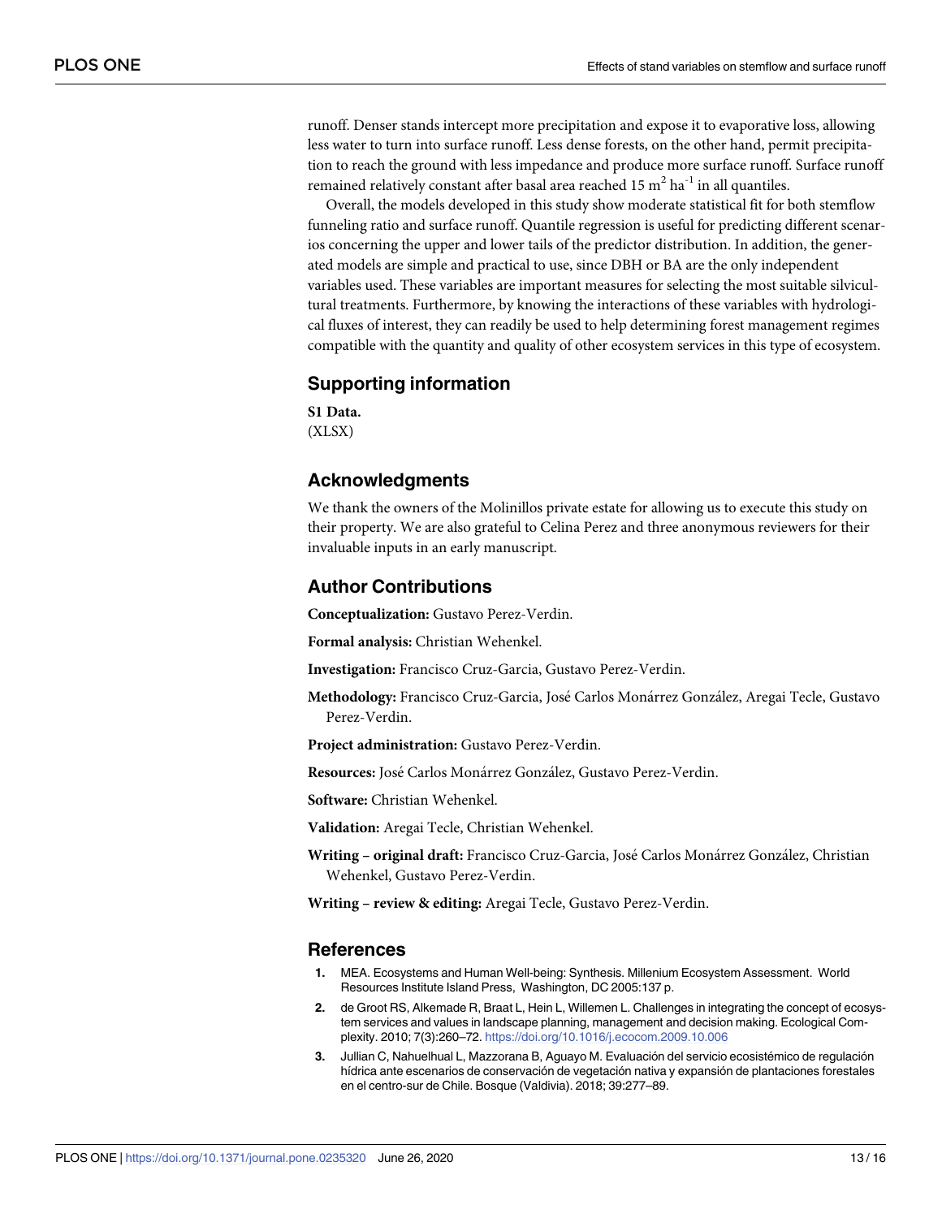<span id="page-13-0"></span>runoff. Denser stands intercept more precipitation and expose it to evaporative loss, allowing less water to turn into surface runoff. Less dense forests, on the other hand, permit precipitation to reach the ground with less impedance and produce more surface runoff. Surface runoff remained relatively constant after basal area reached 15  $m^2$  ha<sup>-1</sup> in all quantiles.

Overall, the models developed in this study show moderate statistical fit for both stemflow funneling ratio and surface runoff. Quantile regression is useful for predicting different scenarios concerning the upper and lower tails of the predictor distribution. In addition, the generated models are simple and practical to use, since DBH or BA are the only independent variables used. These variables are important measures for selecting the most suitable silvicultural treatments. Furthermore, by knowing the interactions of these variables with hydrological fluxes of interest, they can readily be used to help determining forest management regimes compatible with the quantity and quality of other ecosystem services in this type of ecosystem.

### **Supporting information**

**S1 [Data](http://www.plosone.org/article/fetchSingleRepresentation.action?uri=info:doi/10.1371/journal.pone.0235320.s001).** (XLSX)

# **Acknowledgments**

We thank the owners of the Molinillos private estate for allowing us to execute this study on their property. We are also grateful to Celina Perez and three anonymous reviewers for their invaluable inputs in an early manuscript.

## **Author Contributions**

**Conceptualization:** Gustavo Perez-Verdin.

**Formal analysis:** Christian Wehenkel.

**Investigation:** Francisco Cruz-Garcia, Gustavo Perez-Verdin.

**Methodology:** Francisco Cruz-Garcia, José Carlos Monárrez González, Aregai Tecle, Gustavo Perez-Verdin.

**Project administration:** Gustavo Perez-Verdin.

**Resources:** José Carlos Monárrez González, Gustavo Perez-Verdin.

**Software:** Christian Wehenkel.

**Validation:** Aregai Tecle, Christian Wehenkel.

**Writing – original draft:** Francisco Cruz-Garcia, José Carlos Monárrez González, Christian Wehenkel, Gustavo Perez-Verdin.

**Writing – review & editing:** Aregai Tecle, Gustavo Perez-Verdin.

#### **References**

- **[1](#page-1-0).** MEA. Ecosystems and Human Well-being: Synthesis. Millenium Ecosystem Assessment. World Resources Institute Island Press, Washington, DC 2005:137 p.
- **[2](#page-1-0).** de Groot RS, Alkemade R, Braat L, Hein L, Willemen L. Challenges in integrating the concept of ecosystem services and values in landscape planning, management and decision making. Ecological Complexity. 2010; 7(3):260–72. <https://doi.org/10.1016/j.ecocom.2009.10.006>
- **[3](#page-1-0).** Jullian C, Nahuelhual L, Mazzorana B, Aguayo M. Evaluación del servicio ecosistémico de regulación hídrica ante escenarios de conservación de vegetación nativa y expansión de plantaciones forestales en el centro-sur de Chile. Bosque (Valdivia). 2018; 39:277–89.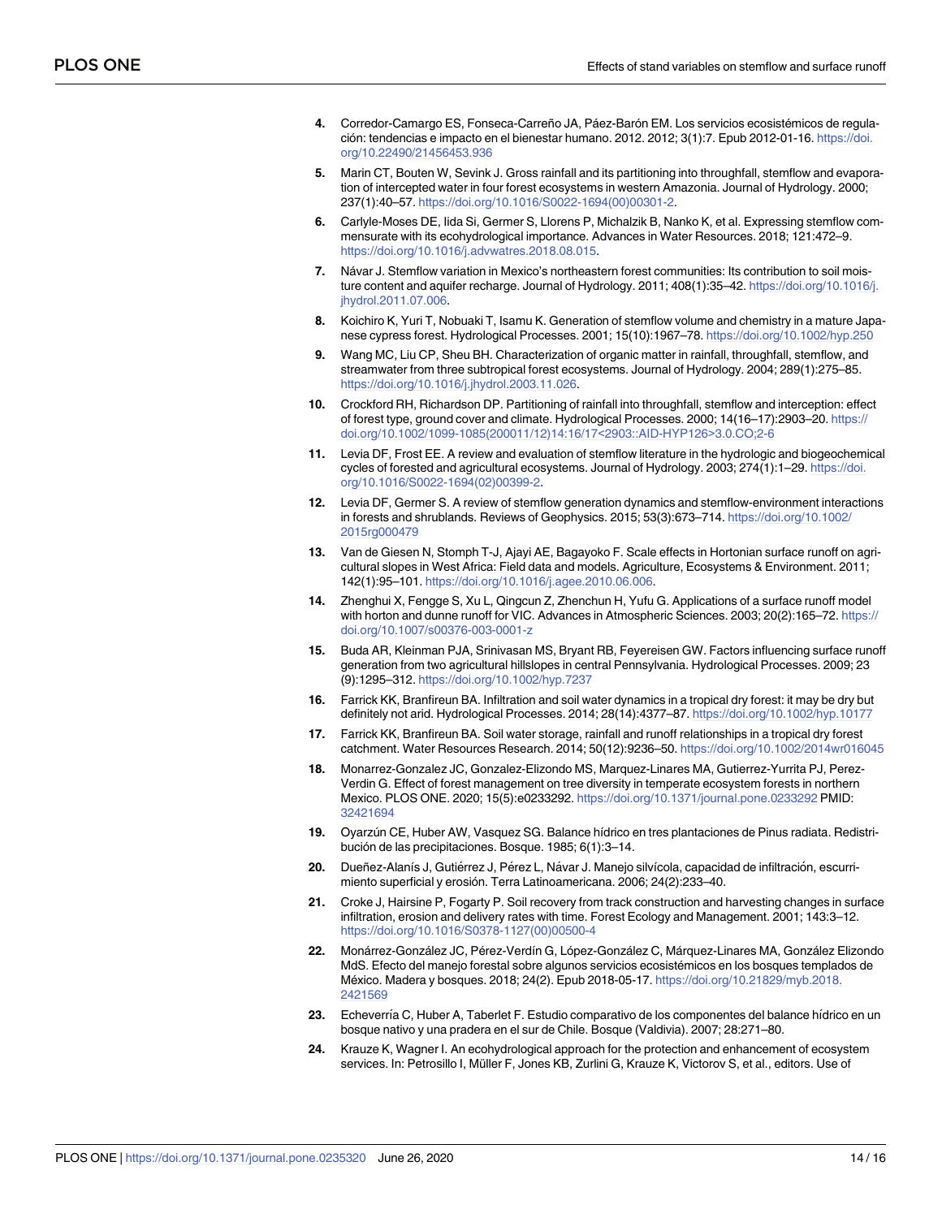- <span id="page-14-0"></span>[4](#page-1-0). Corredor-Camargo ES, Fonseca-Carreño JA, Páez-Barón EM. Los servicios ecosistémicos de regulacio´n: tendencias e impacto en el bienestar humano. 2012. 2012; 3(1):7. Epub 2012-01-16. [https://doi.](https://doi.org/10.22490/21456453.936) [org/10.22490/21456453.936](https://doi.org/10.22490/21456453.936)
- **[5](#page-2-0).** Marin CT, Bouten W, Sevink J. Gross rainfall and its partitioning into throughfall, stemflow and evaporation of intercepted water in four forest ecosystems in western Amazonia. Journal of Hydrology. 2000; 237(1):40–57. [https://doi.org/10.1016/S0022-1694\(00\)00301-2](https://doi.org/10.1016/S0022-1694(00)00301-2).
- **[6](#page-2-0).** Carlyle-Moses DE, Iida Si, Germer S, Llorens P, Michalzik B, Nanko K, et al. Expressing stemflow commensurate with its ecohydrological importance. Advances in Water Resources. 2018; 121:472–9. [https://doi.org/10.1016/j.advwatres.2018.08.015.](https://doi.org/10.1016/j.advwatres.2018.08.015)
- **[7](#page-2-0).** Návar J. Stemflow variation in Mexico's northeastern forest communities: Its contribution to soil moisture content and aquifer recharge. Journal of Hydrology. 2011; 408(1):35–42. [https://doi.org/10.1016/j.](https://doi.org/10.1016/j.jhydrol.2011.07.006) [jhydrol.2011.07.006](https://doi.org/10.1016/j.jhydrol.2011.07.006).
- **[8](#page-2-0).** Koichiro K, Yuri T, Nobuaki T, Isamu K. Generation of stemflow volume and chemistry in a mature Japanese cypress forest. Hydrological Processes. 2001; 15(10):1967–78. <https://doi.org/10.1002/hyp.250>
- **[9](#page-2-0).** Wang MC, Liu CP, Sheu BH. Characterization of organic matter in rainfall, throughfall, stemflow, and streamwater from three subtropical forest ecosystems. Journal of Hydrology. 2004; 289(1):275–85. [https://doi.org/10.1016/j.jhydrol.2003.11.026.](https://doi.org/10.1016/j.jhydrol.2003.11.026)
- **[10](#page-2-0).** Crockford RH, Richardson DP. Partitioning of rainfall into throughfall, stemflow and interception: effect of forest type, ground cover and climate. Hydrological Processes. 2000; 14(16–17):2903–20. [https://](https://doi.org/10.1002/1099-1085(200011/12)14:16/17<2903::AID-HYP126>3.0.CO;2-6) [doi.org/10.1002/1099-1085\(200011/12\)14:16/17](https://doi.org/10.1002/1099-1085(200011/12)14:16/17<2903::AID-HYP126>3.0.CO;2-6)<2903::AID-HYP126>3.0.CO;2-6
- **[11](#page-2-0).** Levia DF, Frost EE. A review and evaluation of stemflow literature in the hydrologic and biogeochemical cycles of forested and agricultural ecosystems. Journal of Hydrology. 2003; 274(1):1–29. [https://doi.](https://doi.org/10.1016/S0022-1694(02)00399-2) [org/10.1016/S0022-1694\(02\)00399-2](https://doi.org/10.1016/S0022-1694(02)00399-2).
- **[12](#page-2-0).** Levia DF, Germer S. A review of stemflow generation dynamics and stemflow-environment interactions in forests and shrublands. Reviews of Geophysics. 2015; 53(3):673–714. [https://doi.org/10.1002/](https://doi.org/10.1002/2015rg000479) [2015rg000479](https://doi.org/10.1002/2015rg000479)
- **[13](#page-2-0).** Van de Giesen N, Stomph T-J, Ajayi AE, Bagayoko F. Scale effects in Hortonian surface runoff on agricultural slopes in West Africa: Field data and models. Agriculture, Ecosystems & Environment. 2011; 142(1):95–101. <https://doi.org/10.1016/j.agee.2010.06.006>.
- **[14](#page-2-0).** Zhenghui X, Fengge S, Xu L, Qingcun Z, Zhenchun H, Yufu G. Applications of a surface runoff model with horton and dunne runoff for VIC. Advances in Atmospheric Sciences. 2003; 20(2):165–72. [https://](https://doi.org/10.1007/s00376-003-0001-z) [doi.org/10.1007/s00376-003-0001-z](https://doi.org/10.1007/s00376-003-0001-z)
- **15.** Buda AR, Kleinman PJA, Srinivasan MS, Bryant RB, Feyereisen GW. Factors influencing surface runoff generation from two agricultural hillslopes in central Pennsylvania. Hydrological Processes. 2009; 23 (9):1295–312. <https://doi.org/10.1002/hyp.7237>
- **[16](#page-12-0).** Farrick KK, Branfireun BA. Infiltration and soil water dynamics in a tropical dry forest: it may be dry but definitely not arid. Hydrological Processes. 2014; 28(14):4377–87. <https://doi.org/10.1002/hyp.10177>
- **[17](#page-2-0).** Farrick KK, Branfireun BA. Soil water storage, rainfall and runoff relationships in a tropical dry forest catchment. Water Resources Research. 2014; 50(12):9236–50. <https://doi.org/10.1002/2014wr016045>
- **[18](#page-2-0).** Monarrez-Gonzalez JC, Gonzalez-Elizondo MS, Marquez-Linares MA, Gutierrez-Yurrita PJ, Perez-Verdin G. Effect of forest management on tree diversity in temperate ecosystem forests in northern Mexico. PLOS ONE. 2020; 15(5):e0233292. <https://doi.org/10.1371/journal.pone.0233292> PMID: [32421694](http://www.ncbi.nlm.nih.gov/pubmed/32421694)
- **[19](#page-2-0).** Oyarzu´n CE, Huber AW, Vasquez SG. Balance hidrico en tres plantaciones de Pinus radiata. Redistribución de las precipitaciones. Bosque. 1985; 6(1):3-14.
- [20](#page-2-0). Dueñez-Alanís J, Gutiérrez J, Pérez L, Návar J. Manejo silvícola, capacidad de infiltración, escurrimiento superficial y erosión. Terra Latinoamericana. 2006; 24(2):233-40.
- **[21](#page-2-0).** Croke J, Hairsine P, Fogarty P. Soil recovery from track construction and harvesting changes in surface infiltration, erosion and delivery rates with time. Forest Ecology and Management. 2001; 143:3–12. [https://doi.org/10.1016/S0378-1127\(00\)00500-4](https://doi.org/10.1016/S0378-1127(00)00500-4)
- [22](#page-2-0). Monárrez-González JC, Pérez-Verdín G, López-González C, Márquez-Linares MA, González Elizondo MdS. Efecto del manejo forestal sobre algunos servicios ecosistémicos en los bosques templados de México. Madera y bosques. 2018; 24(2). Epub 2018-05-17. [https://doi.org/10.21829/myb.2018.](https://doi.org/10.21829/myb.2018.2421569) [2421569](https://doi.org/10.21829/myb.2018.2421569)
- **[23](#page-2-0).** Echeverría C, Huber A, Taberlet F. Estudio comparativo de los componentes del balance hídrico en un bosque nativo y una pradera en el sur de Chile. Bosque (Valdivia). 2007; 28:271–80.
- **[24](#page-2-0).** Krauze K, Wagner I. An ecohydrological approach for the protection and enhancement of ecosystem services. In: Petrosillo I, Müller F, Jones KB, Zurlini G, Krauze K, Victorov S, et al., editors. Use of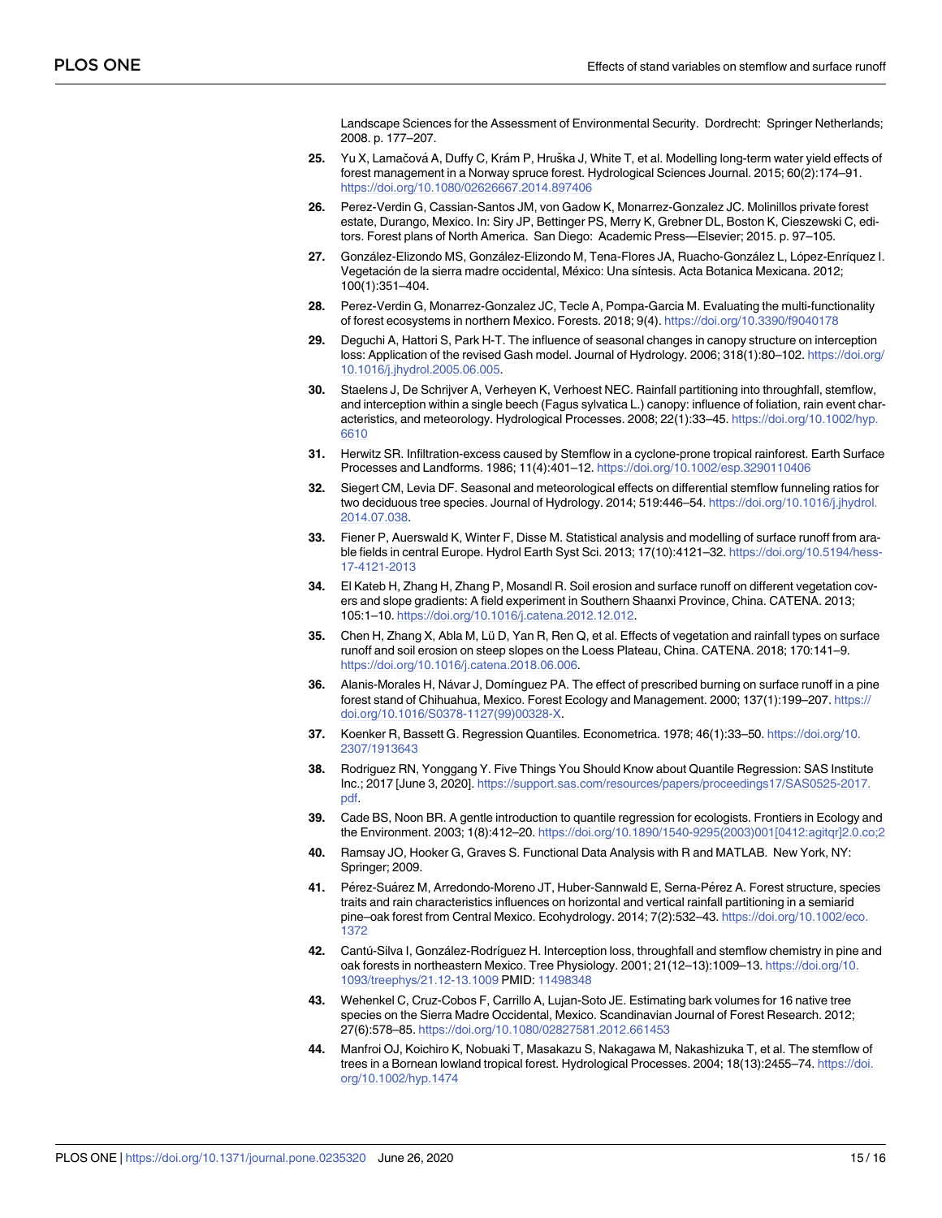Landscape Sciences for the Assessment of Environmental Security. Dordrecht: Springer Netherlands; 2008. p. 177–207.

- <span id="page-15-0"></span>**[25](#page-2-0).** Yu X, Lamačová A, Duffy C, Krám P, Hruška J, White T, et al. Modelling long-term water yield effects of forest management in a Norway spruce forest. Hydrological Sciences Journal. 2015; 60(2):174–91. <https://doi.org/10.1080/02626667.2014.897406>
- **[26](#page-3-0).** Perez-Verdin G, Cassian-Santos JM, von Gadow K, Monarrez-Gonzalez JC. Molinillos private forest estate, Durango, Mexico. In: Siry JP, Bettinger PS, Merry K, Grebner DL, Boston K, Cieszewski C, editors. Forest plans of North America. San Diego: Academic Press—Elsevier; 2015. p. 97–105.
- [27](#page-3-0). González-Elizondo MS, González-Elizondo M, Tena-Flores JA, Ruacho-González L, López-Enríquez I. Vegetación de la sierra madre occidental, México: Una síntesis. Acta Botanica Mexicana. 2012; 100(1):351–404.
- **[28](#page-4-0).** Perez-Verdin G, Monarrez-Gonzalez JC, Tecle A, Pompa-Garcia M. Evaluating the multi-functionality of forest ecosystems in northern Mexico. Forests. 2018; 9(4). <https://doi.org/10.3390/f9040178>
- **[29](#page-5-0).** Deguchi A, Hattori S, Park H-T. The influence of seasonal changes in canopy structure on interception loss: Application of the revised Gash model. Journal of Hydrology. 2006; 318(1):80–102. [https://doi.org/](https://doi.org/10.1016/j.jhydrol.2005.06.005) [10.1016/j.jhydrol.2005.06.005](https://doi.org/10.1016/j.jhydrol.2005.06.005).
- **[30](#page-5-0).** Staelens J, De Schrijver A, Verheyen K, Verhoest NEC. Rainfall partitioning into throughfall, stemflow, and interception within a single beech (Fagus sylvatica L.) canopy: influence of foliation, rain event characteristics, and meteorology. Hydrological Processes. 2008; 22(1):33–45. [https://doi.org/10.1002/hyp.](https://doi.org/10.1002/hyp.6610) [6610](https://doi.org/10.1002/hyp.6610)
- **[31](#page-5-0).** Herwitz SR. Infiltration-excess caused by Stemflow in a cyclone-prone tropical rainforest. Earth Surface Processes and Landforms. 1986; 11(4):401–12. <https://doi.org/10.1002/esp.3290110406>
- **[32](#page-5-0).** Siegert CM, Levia DF. Seasonal and meteorological effects on differential stemflow funneling ratios for two deciduous tree species. Journal of Hydrology. 2014; 519:446–54. [https://doi.org/10.1016/j.jhydrol.](https://doi.org/10.1016/j.jhydrol.2014.07.038) [2014.07.038](https://doi.org/10.1016/j.jhydrol.2014.07.038).
- **[33](#page-6-0).** Fiener P, Auerswald K, Winter F, Disse M. Statistical analysis and modelling of surface runoff from arable fields in central Europe. Hydrol Earth Syst Sci. 2013; 17(10):4121–32. [https://doi.org/10.5194/hess-](https://doi.org/10.5194/hess-17-4121-2013)[17-4121-2013](https://doi.org/10.5194/hess-17-4121-2013)
- **[34](#page-6-0).** El Kateb H, Zhang H, Zhang P, Mosandl R. Soil erosion and surface runoff on different vegetation covers and slope gradients: A field experiment in Southern Shaanxi Province, China. CATENA. 2013; 105:1–10. <https://doi.org/10.1016/j.catena.2012.12.012>.
- **[35](#page-12-0).** Chen H, Zhang X, Abla M, Lü D, Yan R, Ren Q, et al. Effects of vegetation and rainfall types on surface runoff and soil erosion on steep slopes on the Loess Plateau, China. CATENA. 2018; 170:141–9. <https://doi.org/10.1016/j.catena.2018.06.006>.
- **[36](#page-6-0).** Alanis-Morales H, Návar J, Domínguez PA. The effect of prescribed burning on surface runoff in a pine forest stand of Chihuahua, Mexico. Forest Ecology and Management. 2000; 137(1):199–207. [https://](https://doi.org/10.1016/S0378-1127(99)00328-X) [doi.org/10.1016/S0378-1127\(99\)00328-X.](https://doi.org/10.1016/S0378-1127(99)00328-X)
- **[37](#page-7-0).** Koenker R, Bassett G. Regression Quantiles. Econometrica. 1978; 46(1):33–50. [https://doi.org/10.](https://doi.org/10.2307/1913643) [2307/1913643](https://doi.org/10.2307/1913643)
- **[38](#page-7-0).** Rodriguez RN, Yonggang Y. Five Things You Should Know about Quantile Regression: SAS Institute Inc.; 2017 [June 3, 2020]. [https://support.sas.com/resources/papers/proceedings17/SAS0525-2017.](https://support.sas.com/resources/papers/proceedings17/SAS0525-2017.pdf) [pdf](https://support.sas.com/resources/papers/proceedings17/SAS0525-2017.pdf).
- **[39](#page-7-0).** Cade BS, Noon BR. A gentle introduction to quantile regression for ecologists. Frontiers in Ecology and the Environment. 2003; 1(8):412–20. [https://doi.org/10.1890/1540-9295\(2003\)001\[0412:agitqr\]2.0.co;2](https://doi.org/10.1890/1540-9295(2003)001[0412:agitqr]2.0.co;2)
- **[40](#page-7-0).** Ramsay JO, Hooker G, Graves S. Functional Data Analysis with R and MATLAB. New York, NY: Springer; 2009.
- **[41](#page-10-0).** Pérez-Suárez M, Arredondo-Moreno JT, Huber-Sannwald E, Serna-Pérez A. Forest structure, species traits and rain characteristics influences on horizontal and vertical rainfall partitioning in a semiarid pine–oak forest from Central Mexico. Ecohydrology. 2014; 7(2):532–43. [https://doi.org/10.1002/eco.](https://doi.org/10.1002/eco.1372) [1372](https://doi.org/10.1002/eco.1372)
- **[42](#page-10-0).** Cantú-Silva I, González-Rodríguez H. Interception loss, throughfall and stemflow chemistry in pine and oak forests in northeastern Mexico. Tree Physiology. 2001; 21(12–13):1009–13. [https://doi.org/10.](https://doi.org/10.1093/treephys/21.12-13.1009) [1093/treephys/21.12-13.1009](https://doi.org/10.1093/treephys/21.12-13.1009) PMID: [11498348](http://www.ncbi.nlm.nih.gov/pubmed/11498348)
- **[43](#page-11-0).** Wehenkel C, Cruz-Cobos F, Carrillo A, Lujan-Soto JE. Estimating bark volumes for 16 native tree species on the Sierra Madre Occidental, Mexico. Scandinavian Journal of Forest Research. 2012; 27(6):578–85. <https://doi.org/10.1080/02827581.2012.661453>
- **[44](#page-11-0).** Manfroi OJ, Koichiro K, Nobuaki T, Masakazu S, Nakagawa M, Nakashizuka T, et al. The stemflow of trees in a Bornean lowland tropical forest. Hydrological Processes. 2004; 18(13):2455–74. [https://doi.](https://doi.org/10.1002/hyp.1474) [org/10.1002/hyp.1474](https://doi.org/10.1002/hyp.1474)